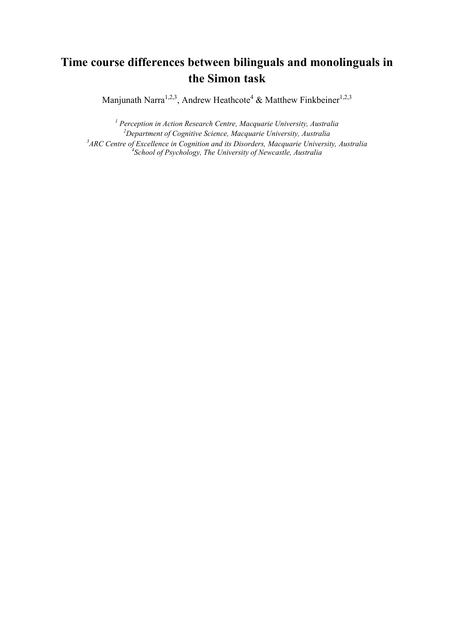# **Time course differences between bilinguals and monolinguals in the Simon task**

Manjunath Narra<sup>1,2,3</sup>, Andrew Heathcote<sup>4</sup> & Matthew Finkbeiner<sup>1,2,3</sup>

 *Perception in Action Research Centre, Macquarie University, Australia Department of Cognitive Science, Macquarie University, Australia ARC Centre of Excellence in Cognition and its Disorders, Macquarie University, Australia School of Psychology, The University of Newcastle, Australia*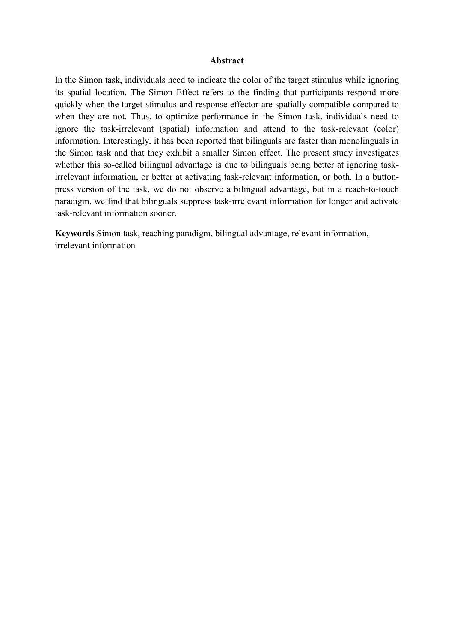#### **Abstract**

In the Simon task, individuals need to indicate the color of the target stimulus while ignoring its spatial location. The Simon Effect refers to the finding that participants respond more quickly when the target stimulus and response effector are spatially compatible compared to when they are not. Thus, to optimize performance in the Simon task, individuals need to ignore the task-irrelevant (spatial) information and attend to the task-relevant (color) information. Interestingly, it has been reported that bilinguals are faster than monolinguals in the Simon task and that they exhibit a smaller Simon effect. The present study investigates whether this so-called bilingual advantage is due to bilinguals being better at ignoring taskirrelevant information, or better at activating task-relevant information, or both. In a buttonpress version of the task, we do not observe a bilingual advantage, but in a reach-to-touch paradigm, we find that bilinguals suppress task-irrelevant information for longer and activate task-relevant information sooner.

**Keywords** Simon task, reaching paradigm, bilingual advantage, relevant information, irrelevant information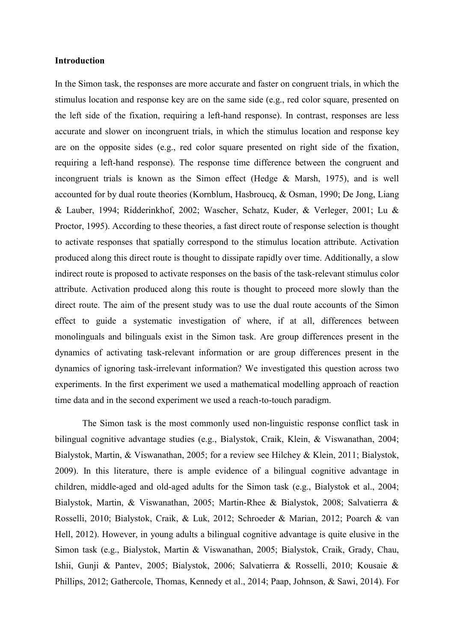#### **Introduction**

In the Simon task, the responses are more accurate and faster on congruent trials, in which the stimulus location and response key are on the same side (e.g., red color square, presented on the left side of the fixation, requiring a left-hand response). In contrast, responses are less accurate and slower on incongruent trials, in which the stimulus location and response key are on the opposite sides (e.g., red color square presented on right side of the fixation, requiring a left-hand response). The response time difference between the congruent and incongruent trials is known as the Simon effect (Hedge & Marsh, 1975), and is well accounted for by dual route theories (Kornblum, Hasbroucq, & Osman, 1990; De Jong, Liang & Lauber, 1994; Ridderinkhof, 2002; Wascher, Schatz, Kuder, & Verleger, 2001; Lu & Proctor, 1995). According to these theories, a fast direct route of response selection is thought to activate responses that spatially correspond to the stimulus location attribute. Activation produced along this direct route is thought to dissipate rapidly over time. Additionally, a slow indirect route is proposed to activate responses on the basis of the task-relevant stimulus color attribute. Activation produced along this route is thought to proceed more slowly than the direct route. The aim of the present study was to use the dual route accounts of the Simon effect to guide a systematic investigation of where, if at all, differences between monolinguals and bilinguals exist in the Simon task. Are group differences present in the dynamics of activating task-relevant information or are group differences present in the dynamics of ignoring task-irrelevant information? We investigated this question across two experiments. In the first experiment we used a mathematical modelling approach of reaction time data and in the second experiment we used a reach-to-touch paradigm.

The Simon task is the most commonly used non-linguistic response conflict task in bilingual cognitive advantage studies (e.g., Bialystok, Craik, Klein, & Viswanathan, 2004; Bialystok, Martin, & Viswanathan, 2005; for a review see Hilchey & Klein, 2011; Bialystok, 2009). In this literature, there is ample evidence of a bilingual cognitive advantage in children, middle-aged and old-aged adults for the Simon task (e.g., Bialystok et al., 2004; Bialystok, Martin, & Viswanathan, 2005; Martin-Rhee & Bialystok, 2008; Salvatierra & Rosselli, 2010; Bialystok, Craik, & Luk, 2012; Schroeder & Marian, 2012; Poarch & van Hell, 2012). However, in young adults a bilingual cognitive advantage is quite elusive in the Simon task (e.g., Bialystok, Martin & Viswanathan, 2005; Bialystok, Craik, Grady, Chau, Ishii, Gunji & Pantev, 2005; Bialystok, 2006; Salvatierra & Rosselli, 2010; Kousaie & Phillips, 2012; Gathercole, Thomas, Kennedy et al., 2014; Paap, Johnson, & Sawi, 2014). For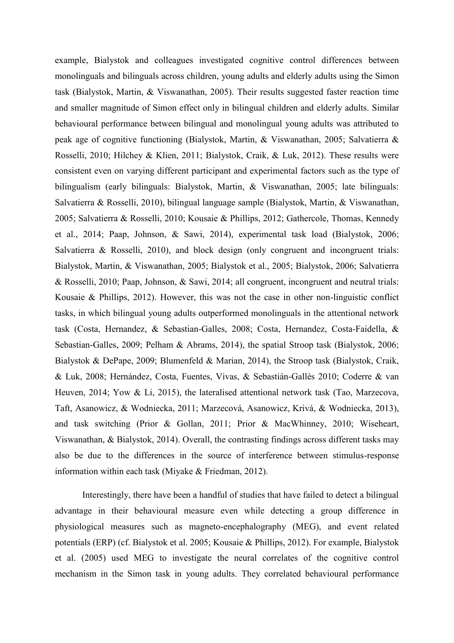example, Bialystok and colleagues investigated cognitive control differences between monolinguals and bilinguals across children, young adults and elderly adults using the Simon task (Bialystok, Martin, & Viswanathan, 2005). Their results suggested faster reaction time and smaller magnitude of Simon effect only in bilingual children and elderly adults. Similar behavioural performance between bilingual and monolingual young adults was attributed to peak age of cognitive functioning (Bialystok, Martin, & Viswanathan, 2005; Salvatierra & Rosselli, 2010; Hilchey & Klien, 2011; Bialystok, Craik, & Luk, 2012). These results were consistent even on varying different participant and experimental factors such as the type of bilingualism (early bilinguals: Bialystok, Martin, & Viswanathan, 2005; late bilinguals: Salvatierra & Rosselli, 2010), bilingual language sample (Bialystok, Martin, & Viswanathan, 2005; Salvatierra & Rosselli, 2010; Kousaie & Phillips, 2012; Gathercole, Thomas, Kennedy et al., 2014; Paap, Johnson, & Sawi, 2014), experimental task load (Bialystok, 2006; Salvatierra & Rosselli, 2010), and block design (only congruent and incongruent trials: Bialystok, Martin, & Viswanathan, 2005; Bialystok et al., 2005; Bialystok, 2006; Salvatierra & Rosselli, 2010; Paap, Johnson, & Sawi, 2014; all congruent, incongruent and neutral trials: Kousaie & Phillips, 2012). However, this was not the case in other non-linguistic conflict tasks, in which bilingual young adults outperformed monolinguals in the attentional network task (Costa, Hernandez, & Sebastian-Galles, 2008; Costa, Hernandez, Costa-Faidella, & Sebastian-Galles, 2009; Pelham & Abrams, 2014), the spatial Stroop task (Bialystok, 2006; Bialystok & DePape, 2009; Blumenfeld & Marian, 2014), the Stroop task (Bialystok, Craik, & Luk, 2008; Hernández, Costa, Fuentes, Vivas, & Sebastián-Gallès 2010; Coderre & van Heuven, 2014; Yow & Li, 2015), the lateralised attentional network task (Tao, Marzecova, Taft, Asanowicz, & Wodniecka, 2011; Marzecová, Asanowicz, Krivá, & Wodniecka, 2013), and task switching (Prior & Gollan, 2011; Prior & MacWhinney, 2010; Wiseheart, Viswanathan, & Bialystok, 2014). Overall, the contrasting findings across different tasks may also be due to the differences in the source of interference between stimulus-response information within each task (Miyake & Friedman, 2012).

Interestingly, there have been a handful of studies that have failed to detect a bilingual advantage in their behavioural measure even while detecting a group difference in physiological measures such as magneto-encephalography (MEG), and event related potentials (ERP) (cf. Bialystok et al. 2005; Kousaie & Phillips, 2012). For example, Bialystok et al. (2005) used MEG to investigate the neural correlates of the cognitive control mechanism in the Simon task in young adults. They correlated behavioural performance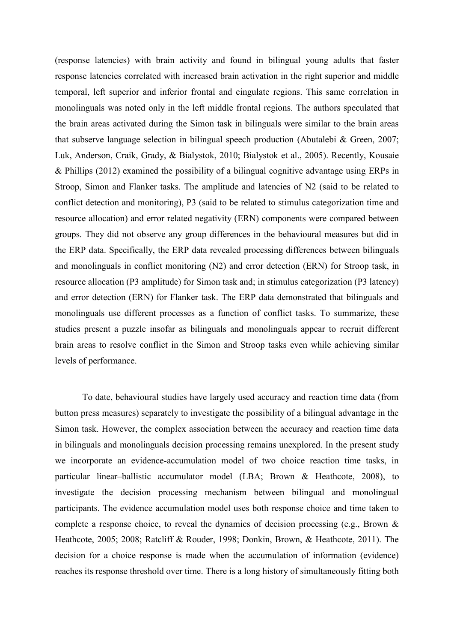(response latencies) with brain activity and found in bilingual young adults that faster response latencies correlated with increased brain activation in the right superior and middle temporal, left superior and inferior frontal and cingulate regions. This same correlation in monolinguals was noted only in the left middle frontal regions. The authors speculated that the brain areas activated during the Simon task in bilinguals were similar to the brain areas that subserve language selection in bilingual speech production (Abutalebi & Green, 2007; Luk, Anderson, Craik, Grady, & Bialystok, 2010; Bialystok et al., 2005). Recently, Kousaie & Phillips (2012) examined the possibility of a bilingual cognitive advantage using ERPs in Stroop, Simon and Flanker tasks. The amplitude and latencies of N2 (said to be related to conflict detection and monitoring), P3 (said to be related to stimulus categorization time and resource allocation) and error related negativity (ERN) components were compared between groups. They did not observe any group differences in the behavioural measures but did in the ERP data. Specifically, the ERP data revealed processing differences between bilinguals and monolinguals in conflict monitoring (N2) and error detection (ERN) for Stroop task, in resource allocation (P3 amplitude) for Simon task and; in stimulus categorization (P3 latency) and error detection (ERN) for Flanker task. The ERP data demonstrated that bilinguals and monolinguals use different processes as a function of conflict tasks. To summarize, these studies present a puzzle insofar as bilinguals and monolinguals appear to recruit different brain areas to resolve conflict in the Simon and Stroop tasks even while achieving similar levels of performance.

To date, behavioural studies have largely used accuracy and reaction time data (from button press measures) separately to investigate the possibility of a bilingual advantage in the Simon task. However, the complex association between the accuracy and reaction time data in bilinguals and monolinguals decision processing remains unexplored. In the present study we incorporate an evidence-accumulation model of two choice reaction time tasks, in particular linear–ballistic accumulator model (LBA; Brown & Heathcote, 2008), to investigate the decision processing mechanism between bilingual and monolingual participants. The evidence accumulation model uses both response choice and time taken to complete a response choice, to reveal the dynamics of decision processing (e.g., Brown & Heathcote, 2005; 2008; Ratcliff & Rouder, 1998; Donkin, Brown, & Heathcote, 2011). The decision for a choice response is made when the accumulation of information (evidence) reaches its response threshold over time. There is a long history of simultaneously fitting both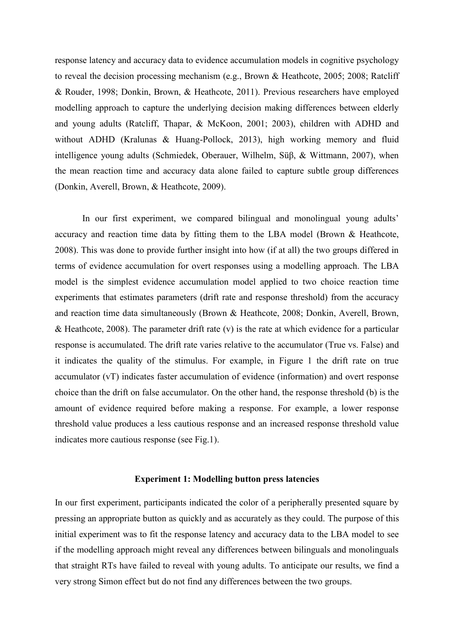response latency and accuracy data to evidence accumulation models in cognitive psychology to reveal the decision processing mechanism (e.g., Brown & Heathcote, 2005; 2008; Ratcliff & Rouder, 1998; Donkin, Brown, & Heathcote, 2011). Previous researchers have employed modelling approach to capture the underlying decision making differences between elderly and young adults (Ratcliff, Thapar, & McKoon, 2001; 2003), children with ADHD and without ADHD (Kralunas & Huang-Pollock, 2013), high working memory and fluid intelligence young adults (Schmiedek, Oberauer, Wilhelm, Süβ, & Wittmann, 2007), when the mean reaction time and accuracy data alone failed to capture subtle group differences (Donkin, Averell, Brown, & Heathcote, 2009).

In our first experiment, we compared bilingual and monolingual young adults' accuracy and reaction time data by fitting them to the LBA model (Brown & Heathcote, 2008). This was done to provide further insight into how (if at all) the two groups differed in terms of evidence accumulation for overt responses using a modelling approach. The LBA model is the simplest evidence accumulation model applied to two choice reaction time experiments that estimates parameters (drift rate and response threshold) from the accuracy and reaction time data simultaneously (Brown & Heathcote, 2008; Donkin, Averell, Brown, & Heathcote, 2008). The parameter drift rate  $(v)$  is the rate at which evidence for a particular response is accumulated. The drift rate varies relative to the accumulator (True vs. False) and it indicates the quality of the stimulus. For example, in Figure 1 the drift rate on true accumulator (vT) indicates faster accumulation of evidence (information) and overt response choice than the drift on false accumulator. On the other hand, the response threshold (b) is the amount of evidence required before making a response. For example, a lower response threshold value produces a less cautious response and an increased response threshold value indicates more cautious response (see Fig.1).

#### **Experiment 1: Modelling button press latencies**

In our first experiment, participants indicated the color of a peripherally presented square by pressing an appropriate button as quickly and as accurately as they could. The purpose of this initial experiment was to fit the response latency and accuracy data to the LBA model to see if the modelling approach might reveal any differences between bilinguals and monolinguals that straight RTs have failed to reveal with young adults. To anticipate our results, we find a very strong Simon effect but do not find any differences between the two groups.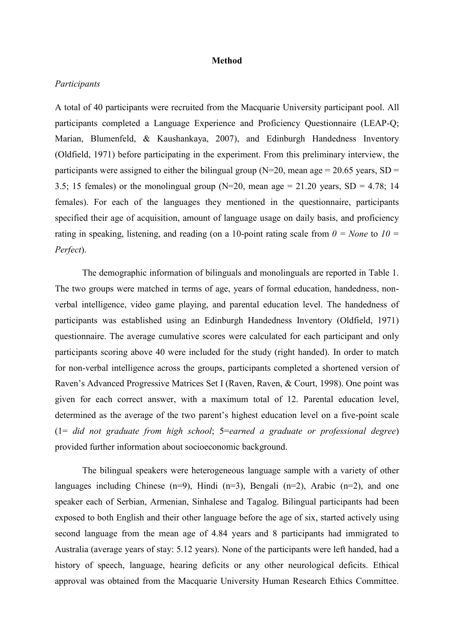#### **Method**

## *Participants*

A total of 40 participants were recruited from the Macquarie University participant pool. All participants completed a Language Experience and Proficiency Questionnaire (LEAP-Q; Marian, Blumenfeld, & Kaushankaya, 2007), and Edinburgh Handedness Inventory (Oldfield, 1971) before participating in the experiment. From this preliminary interview, the participants were assigned to either the bilingual group ( $N=20$ , mean age = 20.65 years, SD = 3.5; 15 females) or the monolingual group (N=20, mean age  $= 21.20$  years, SD  $= 4.78$ ; 14 females). For each of the languages they mentioned in the questionnaire, participants specified their age of acquisition, amount of language usage on daily basis, and proficiency rating in speaking, listening, and reading (on a 10-point rating scale from  $0 = None$  to  $10 =$ *Perfect*).

The demographic information of bilinguals and monolinguals are reported in Table 1. The two groups were matched in terms of age, years of formal education, handedness, nonverbal intelligence, video game playing, and parental education level. The handedness of participants was established using an Edinburgh Handedness Inventory (Oldfield, 1971) questionnaire. The average cumulative scores were calculated for each participant and only participants scoring above 40 were included for the study (right handed). In order to match for non-verbal intelligence across the groups, participants completed a shortened version of Raven's Advanced Progressive Matrices Set I (Raven, Raven, & Court, 1998). One point was given for each correct answer, with a maximum total of 12. Parental education level, determined as the average of the two parent's highest education level on a five-point scale (1= *did not graduate from high school*; 5=*earned a graduate or professional degree*) provided further information about socioeconomic background.

The bilingual speakers were heterogeneous language sample with a variety of other languages including Chinese  $(n=9)$ , Hindi  $(n=3)$ , Bengali  $(n=2)$ , Arabic  $(n=2)$ , and one speaker each of Serbian, Armenian, Sinhalese and Tagalog. Bilingual participants had been exposed to both English and their other language before the age of six, started actively using second language from the mean age of 4.84 years and 8 participants had immigrated to Australia (average years of stay: 5.12 years). None of the participants were left handed, had a history of speech, language, hearing deficits or any other neurological deficits. Ethical approval was obtained from the Macquarie University Human Research Ethics Committee.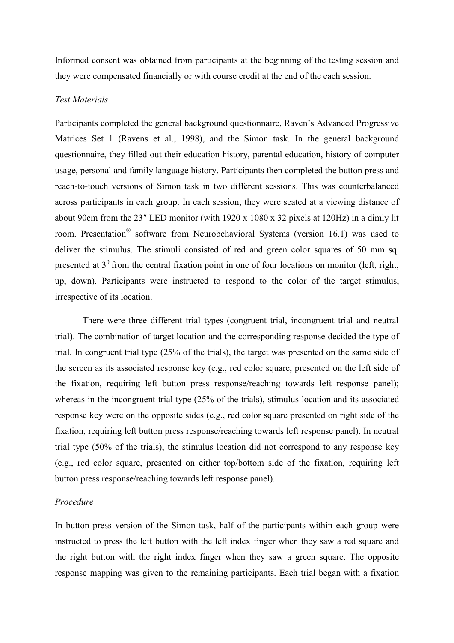Informed consent was obtained from participants at the beginning of the testing session and they were compensated financially or with course credit at the end of the each session.

## *Test Materials*

Participants completed the general background questionnaire, Raven's Advanced Progressive Matrices Set 1 (Ravens et al., 1998), and the Simon task. In the general background questionnaire, they filled out their education history, parental education, history of computer usage, personal and family language history. Participants then completed the button press and reach-to-touch versions of Simon task in two different sessions. This was counterbalanced across participants in each group. In each session, they were seated at a viewing distance of about 90cm from the 23″ LED monitor (with 1920 x 1080 x 32 pixels at 120Hz) in a dimly lit room. Presentation<sup>®</sup> software from Neurobehavioral Systems (version 16.1) was used to deliver the stimulus. The stimuli consisted of red and green color squares of 50 mm sq. presented at  $3<sup>0</sup>$  from the central fixation point in one of four locations on monitor (left, right, up, down). Participants were instructed to respond to the color of the target stimulus, irrespective of its location.

There were three different trial types (congruent trial, incongruent trial and neutral trial). The combination of target location and the corresponding response decided the type of trial. In congruent trial type (25% of the trials), the target was presented on the same side of the screen as its associated response key (e.g., red color square, presented on the left side of the fixation, requiring left button press response/reaching towards left response panel); whereas in the incongruent trial type (25% of the trials), stimulus location and its associated response key were on the opposite sides (e.g., red color square presented on right side of the fixation, requiring left button press response/reaching towards left response panel). In neutral trial type (50% of the trials), the stimulus location did not correspond to any response key (e.g., red color square, presented on either top/bottom side of the fixation, requiring left button press response/reaching towards left response panel).

## *Procedure*

In button press version of the Simon task, half of the participants within each group were instructed to press the left button with the left index finger when they saw a red square and the right button with the right index finger when they saw a green square. The opposite response mapping was given to the remaining participants. Each trial began with a fixation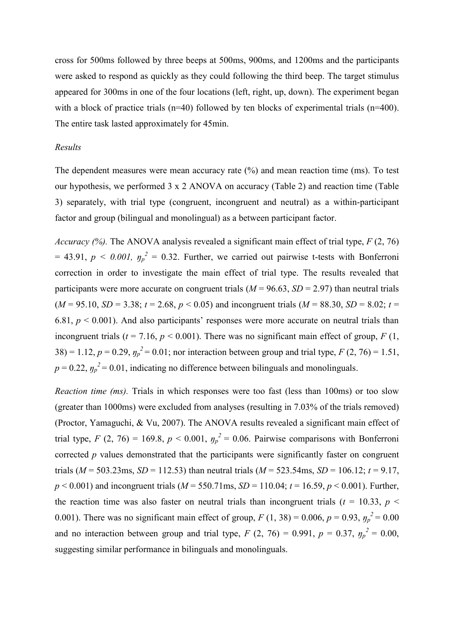cross for 500ms followed by three beeps at 500ms, 900ms, and 1200ms and the participants were asked to respond as quickly as they could following the third beep. The target stimulus appeared for 300ms in one of the four locations (left, right, up, down). The experiment began with a block of practice trials (n=40) followed by ten blocks of experimental trials (n=400). The entire task lasted approximately for 45min.

### *Results*

The dependent measures were mean accuracy rate (%) and mean reaction time (ms). To test our hypothesis, we performed 3 x 2 ANOVA on accuracy (Table 2) and reaction time (Table 3) separately, with trial type (congruent, incongruent and neutral) as a within-participant factor and group (bilingual and monolingual) as a between participant factor.

*Accuracy (%).* The ANOVA analysis revealed a significant main effect of trial type, *F* (2, 76)  $= 43.91, p \le 0.001, \eta_p^2 = 0.32$ . Further, we carried out pairwise t-tests with Bonferroni correction in order to investigate the main effect of trial type. The results revealed that participants were more accurate on congruent trials ( $M = 96.63$ ,  $SD = 2.97$ ) than neutral trials  $(M = 95.10, SD = 3.38; t = 2.68, p < 0.05)$  and incongruent trials  $(M = 88.30, SD = 8.02; t = 1.02)$ 6.81,  $p < 0.001$ ). And also participants' responses were more accurate on neutral trials than incongruent trials ( $t = 7.16$ ,  $p < 0.001$ ). There was no significant main effect of group,  $F(1)$ , 38) = 1.12,  $p = 0.29$ ,  $y_p^2 = 0.01$ ; nor interaction between group and trial type,  $F(2, 76) = 1.51$ ,  $p = 0.22$ ,  $\eta_p^2 = 0.01$ , indicating no difference between bilinguals and monolinguals.

*Reaction time (ms).* Trials in which responses were too fast (less than 100ms) or too slow (greater than 1000ms) were excluded from analyses (resulting in 7.03% of the trials removed) (Proctor, Yamaguchi, & Vu, 2007). The ANOVA results revealed a significant main effect of trial type, *F* (2, 76) = 169.8,  $p < 0.001$ ,  $\eta_p^2 = 0.06$ . Pairwise comparisons with Bonferroni corrected *p* values demonstrated that the participants were significantly faster on congruent trials ( $M = 503.23$ ms,  $SD = 112.53$ ) than neutral trials ( $M = 523.54$ ms,  $SD = 106.12$ ;  $t = 9.17$ , *p* < 0.001) and incongruent trials (*M* = 550.71ms, *SD* = 110.04; *t* = 16.59, *p* < 0.001). Further, the reaction time was also faster on neutral trials than incongruent trials ( $t = 10.33$ ,  $p <$ 0.001). There was no significant main effect of group,  $F(1, 38) = 0.006$ ,  $p = 0.93$ ,  $y_p^2 = 0.00$ and no interaction between group and trial type,  $F(2, 76) = 0.991$ ,  $p = 0.37$ ,  $y_p^2 = 0.00$ , suggesting similar performance in bilinguals and monolinguals.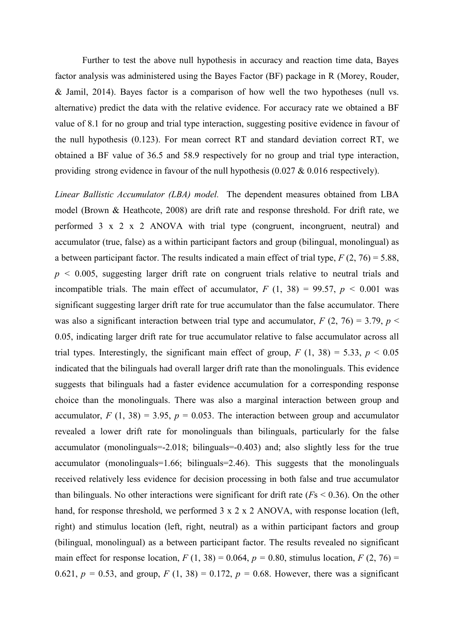Further to test the above null hypothesis in accuracy and reaction time data, Bayes factor analysis was administered using the Bayes Factor (BF) package in R (Morey, Rouder, & Jamil, 2014). Bayes factor is a comparison of how well the two hypotheses (null vs. alternative) predict the data with the relative evidence. For accuracy rate we obtained a BF value of 8.1 for no group and trial type interaction, suggesting positive evidence in favour of the null hypothesis (0.123). For mean correct RT and standard deviation correct RT, we obtained a BF value of 36.5 and 58.9 respectively for no group and trial type interaction, providing strong evidence in favour of the null hypothesis (0.027 & 0.016 respectively).

*Linear Ballistic Accumulator (LBA) model.* The dependent measures obtained from LBA model (Brown & Heathcote, 2008) are drift rate and response threshold. For drift rate, we performed 3 x 2 x 2 ANOVA with trial type (congruent, incongruent, neutral) and accumulator (true, false) as a within participant factors and group (bilingual, monolingual) as a between participant factor. The results indicated a main effect of trial type,  $F(2, 76) = 5.88$ ,  $p \le 0.005$ , suggesting larger drift rate on congruent trials relative to neutral trials and incompatible trials. The main effect of accumulator,  $F(1, 38) = 99.57$ ,  $p < 0.001$  was significant suggesting larger drift rate for true accumulator than the false accumulator. There was also a significant interaction between trial type and accumulator,  $F(2, 76) = 3.79$ ,  $p <$ 0.05, indicating larger drift rate for true accumulator relative to false accumulator across all trial types. Interestingly, the significant main effect of group,  $F(1, 38) = 5.33$ ,  $p < 0.05$ indicated that the bilinguals had overall larger drift rate than the monolinguals. This evidence suggests that bilinguals had a faster evidence accumulation for a corresponding response choice than the monolinguals. There was also a marginal interaction between group and accumulator,  $F(1, 38) = 3.95$ ,  $p = 0.053$ . The interaction between group and accumulator revealed a lower drift rate for monolinguals than bilinguals, particularly for the false accumulator (monolinguals=-2.018; bilinguals=-0.403) and; also slightly less for the true accumulator (monolinguals=1.66; bilinguals=2.46). This suggests that the monolinguals received relatively less evidence for decision processing in both false and true accumulator than bilinguals. No other interactions were significant for drift rate (*F*s < 0.36). On the other hand, for response threshold, we performed 3 x 2 x 2 ANOVA, with response location (left, right) and stimulus location (left, right, neutral) as a within participant factors and group (bilingual, monolingual) as a between participant factor. The results revealed no significant main effect for response location,  $F(1, 38) = 0.064$ ,  $p = 0.80$ , stimulus location,  $F(2, 76) =$ 0.621,  $p = 0.53$ , and group,  $F(1, 38) = 0.172$ ,  $p = 0.68$ . However, there was a significant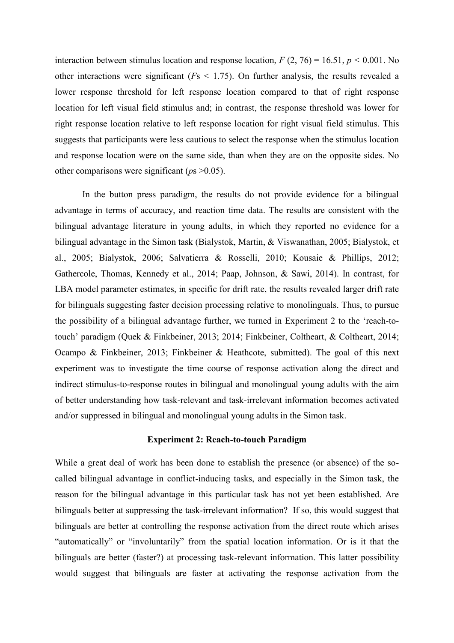interaction between stimulus location and response location,  $F(2, 76) = 16.51$ ,  $p < 0.001$ . No other interactions were significant (*F*s < 1.75). On further analysis, the results revealed a lower response threshold for left response location compared to that of right response location for left visual field stimulus and; in contrast, the response threshold was lower for right response location relative to left response location for right visual field stimulus. This suggests that participants were less cautious to select the response when the stimulus location and response location were on the same side, than when they are on the opposite sides. No other comparisons were significant (*p*s >0.05).

In the button press paradigm, the results do not provide evidence for a bilingual advantage in terms of accuracy, and reaction time data. The results are consistent with the bilingual advantage literature in young adults, in which they reported no evidence for a bilingual advantage in the Simon task (Bialystok, Martin, & Viswanathan, 2005; Bialystok, et al., 2005; Bialystok, 2006; Salvatierra & Rosselli, 2010; Kousaie & Phillips, 2012; Gathercole, Thomas, Kennedy et al., 2014; Paap, Johnson, & Sawi, 2014). In contrast, for LBA model parameter estimates, in specific for drift rate, the results revealed larger drift rate for bilinguals suggesting faster decision processing relative to monolinguals. Thus, to pursue the possibility of a bilingual advantage further, we turned in Experiment 2 to the 'reach-totouch' paradigm (Quek & Finkbeiner, 2013; 2014; Finkbeiner, Coltheart, & Coltheart, 2014; Ocampo & Finkbeiner, 2013; Finkbeiner & Heathcote, submitted). The goal of this next experiment was to investigate the time course of response activation along the direct and indirect stimulus-to-response routes in bilingual and monolingual young adults with the aim of better understanding how task-relevant and task-irrelevant information becomes activated and/or suppressed in bilingual and monolingual young adults in the Simon task.

## **Experiment 2: Reach-to-touch Paradigm**

While a great deal of work has been done to establish the presence (or absence) of the socalled bilingual advantage in conflict-inducing tasks, and especially in the Simon task, the reason for the bilingual advantage in this particular task has not yet been established. Are bilinguals better at suppressing the task-irrelevant information? If so, this would suggest that bilinguals are better at controlling the response activation from the direct route which arises "automatically" or "involuntarily" from the spatial location information. Or is it that the bilinguals are better (faster?) at processing task-relevant information. This latter possibility would suggest that bilinguals are faster at activating the response activation from the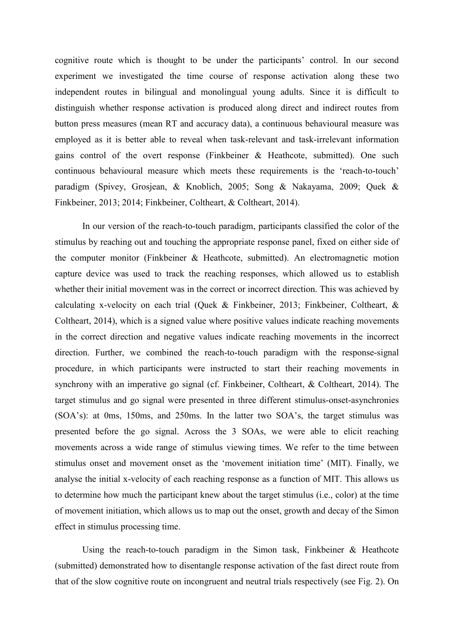cognitive route which is thought to be under the participants' control. In our second experiment we investigated the time course of response activation along these two independent routes in bilingual and monolingual young adults. Since it is difficult to distinguish whether response activation is produced along direct and indirect routes from button press measures (mean RT and accuracy data), a continuous behavioural measure was employed as it is better able to reveal when task-relevant and task-irrelevant information gains control of the overt response (Finkbeiner & Heathcote, submitted). One such continuous behavioural measure which meets these requirements is the 'reach-to-touch' paradigm (Spivey, Grosjean, & Knoblich, 2005; Song & Nakayama, 2009; Quek & Finkbeiner, 2013; 2014; Finkbeiner, Coltheart, & Coltheart, 2014).

In our version of the reach-to-touch paradigm, participants classified the color of the stimulus by reaching out and touching the appropriate response panel, fixed on either side of the computer monitor (Finkbeiner & Heathcote, submitted). An electromagnetic motion capture device was used to track the reaching responses, which allowed us to establish whether their initial movement was in the correct or incorrect direction. This was achieved by calculating x-velocity on each trial (Quek & Finkbeiner, 2013; Finkbeiner, Coltheart, & Coltheart, 2014), which is a signed value where positive values indicate reaching movements in the correct direction and negative values indicate reaching movements in the incorrect direction. Further, we combined the reach-to-touch paradigm with the response-signal procedure, in which participants were instructed to start their reaching movements in synchrony with an imperative go signal (cf. Finkbeiner, Coltheart, & Coltheart, 2014). The target stimulus and go signal were presented in three different stimulus-onset-asynchronies (SOA's): at 0ms, 150ms, and 250ms. In the latter two SOA's, the target stimulus was presented before the go signal. Across the 3 SOAs, we were able to elicit reaching movements across a wide range of stimulus viewing times. We refer to the time between stimulus onset and movement onset as the 'movement initiation time' (MIT). Finally, we analyse the initial x-velocity of each reaching response as a function of MIT. This allows us to determine how much the participant knew about the target stimulus (i.e., color) at the time of movement initiation, which allows us to map out the onset, growth and decay of the Simon effect in stimulus processing time.

Using the reach-to-touch paradigm in the Simon task, Finkbeiner & Heathcote (submitted) demonstrated how to disentangle response activation of the fast direct route from that of the slow cognitive route on incongruent and neutral trials respectively (see Fig. 2). On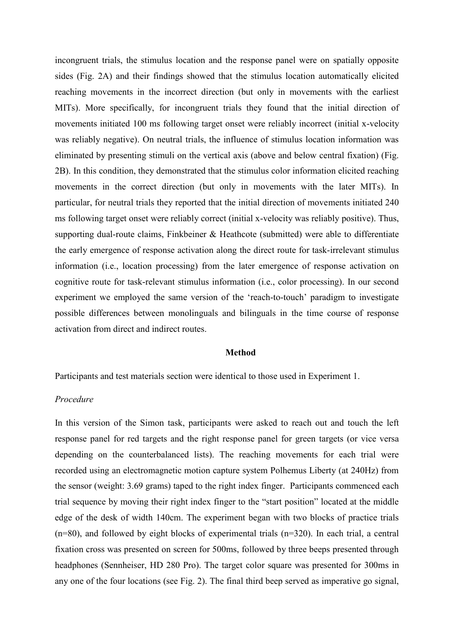incongruent trials, the stimulus location and the response panel were on spatially opposite sides (Fig. 2A) and their findings showed that the stimulus location automatically elicited reaching movements in the incorrect direction (but only in movements with the earliest MITs). More specifically, for incongruent trials they found that the initial direction of movements initiated 100 ms following target onset were reliably incorrect (initial x-velocity was reliably negative). On neutral trials, the influence of stimulus location information was eliminated by presenting stimuli on the vertical axis (above and below central fixation) (Fig. 2B). In this condition, they demonstrated that the stimulus color information elicited reaching movements in the correct direction (but only in movements with the later MITs). In particular, for neutral trials they reported that the initial direction of movements initiated 240 ms following target onset were reliably correct (initial x-velocity was reliably positive). Thus, supporting dual-route claims, Finkbeiner & Heathcote (submitted) were able to differentiate the early emergence of response activation along the direct route for task-irrelevant stimulus information (i.e., location processing) from the later emergence of response activation on cognitive route for task-relevant stimulus information (i.e., color processing). In our second experiment we employed the same version of the 'reach-to-touch' paradigm to investigate possible differences between monolinguals and bilinguals in the time course of response activation from direct and indirect routes.

#### **Method**

Participants and test materials section were identical to those used in Experiment 1.

## *Procedure*

In this version of the Simon task, participants were asked to reach out and touch the left response panel for red targets and the right response panel for green targets (or vice versa depending on the counterbalanced lists). The reaching movements for each trial were recorded using an electromagnetic motion capture system Polhemus Liberty (at 240Hz) from the sensor (weight: 3.69 grams) taped to the right index finger. Participants commenced each trial sequence by moving their right index finger to the "start position" located at the middle edge of the desk of width 140cm. The experiment began with two blocks of practice trials (n=80), and followed by eight blocks of experimental trials (n=320). In each trial, a central fixation cross was presented on screen for 500ms, followed by three beeps presented through headphones (Sennheiser, HD 280 Pro). The target color square was presented for 300ms in any one of the four locations (see Fig. 2). The final third beep served as imperative go signal,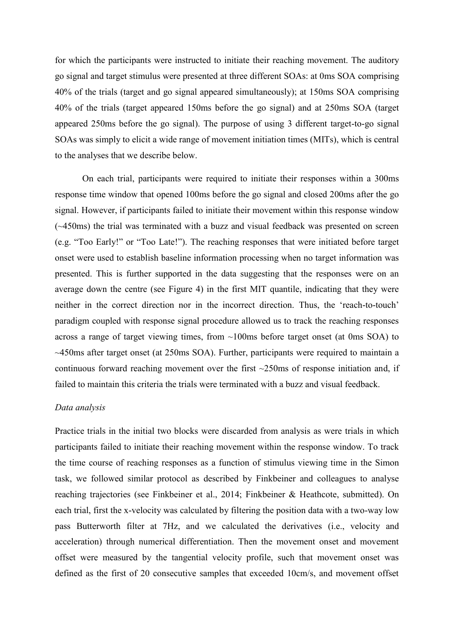for which the participants were instructed to initiate their reaching movement. The auditory go signal and target stimulus were presented at three different SOAs: at 0ms SOA comprising 40% of the trials (target and go signal appeared simultaneously); at 150ms SOA comprising 40% of the trials (target appeared 150ms before the go signal) and at 250ms SOA (target appeared 250ms before the go signal). The purpose of using 3 different target-to-go signal SOAs was simply to elicit a wide range of movement initiation times (MITs), which is central to the analyses that we describe below.

On each trial, participants were required to initiate their responses within a 300ms response time window that opened 100ms before the go signal and closed 200ms after the go signal. However, if participants failed to initiate their movement within this response window (~450ms) the trial was terminated with a buzz and visual feedback was presented on screen (e.g. "Too Early!" or "Too Late!"). The reaching responses that were initiated before target onset were used to establish baseline information processing when no target information was presented. This is further supported in the data suggesting that the responses were on an average down the centre (see Figure 4) in the first MIT quantile, indicating that they were neither in the correct direction nor in the incorrect direction. Thus, the 'reach-to-touch' paradigm coupled with response signal procedure allowed us to track the reaching responses across a range of target viewing times, from ~100ms before target onset (at 0ms SOA) to ~450ms after target onset (at 250ms SOA). Further, participants were required to maintain a continuous forward reaching movement over the first ~250ms of response initiation and, if failed to maintain this criteria the trials were terminated with a buzz and visual feedback.

## *Data analysis*

Practice trials in the initial two blocks were discarded from analysis as were trials in which participants failed to initiate their reaching movement within the response window. To track the time course of reaching responses as a function of stimulus viewing time in the Simon task, we followed similar protocol as described by Finkbeiner and colleagues to analyse reaching trajectories (see Finkbeiner et al., 2014; Finkbeiner & Heathcote, submitted). On each trial, first the x-velocity was calculated by filtering the position data with a two-way low pass Butterworth filter at 7Hz, and we calculated the derivatives (i.e., velocity and acceleration) through numerical differentiation. Then the movement onset and movement offset were measured by the tangential velocity profile, such that movement onset was defined as the first of 20 consecutive samples that exceeded 10cm/s, and movement offset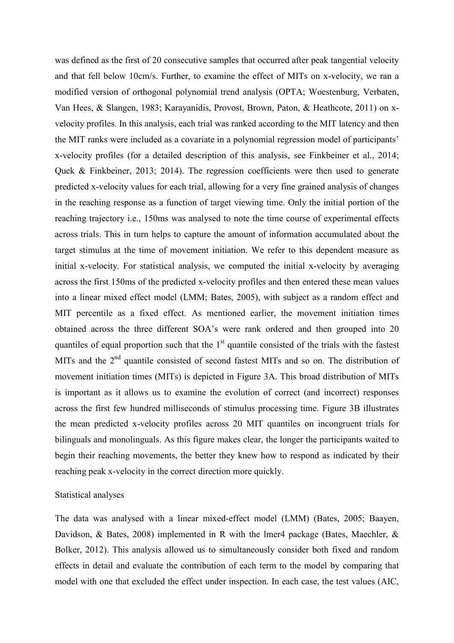was defined as the first of 20 consecutive samples that occurred after peak tangential velocity and that fell below 10cm/s. Further, to examine the effect of MITs on x-velocity, we ran a modified version of orthogonal polynomial trend analysis (OPTA; Woestenburg, Verbaten, Van Hees, & Slangen, 1983; Karayanidis, Provost, Brown, Paton, & Heathcote, 2011) on xvelocity profiles. In this analysis, each trial was ranked according to the MIT latency and then the MIT ranks were included as a covariate in a polynomial regression model of participants' x-velocity profiles (for a detailed description of this analysis, see Finkbeiner et al., 2014; Quek & Finkbeiner, 2013; 2014). The regression coefficients were then used to generate predicted x-velocity values for each trial, allowing for a very fine grained analysis of changes in the reaching response as a function of target viewing time. Only the initial portion of the reaching trajectory i.e., 150ms was analysed to note the time course of experimental effects across trials. This in turn helps to capture the amount of information accumulated about the target stimulus at the time of movement initiation. We refer to this dependent measure as initial x-velocity. For statistical analysis, we computed the initial x-velocity by averaging across the first 150ms of the predicted x-velocity profiles and then entered these mean values into a linear mixed effect model (LMM; Bates, 2005), with subject as a random effect and MIT percentile as a fixed effect. As mentioned earlier, the movement initiation times obtained across the three different SOA's were rank ordered and then grouped into 20 quantiles of equal proportion such that the  $1<sup>st</sup>$  quantile consisted of the trials with the fastest MITs and the  $2<sup>nd</sup>$  quantile consisted of second fastest MITs and so on. The distribution of movement initiation times (MITs) is depicted in Figure 3A. This broad distribution of MITs is important as it allows us to examine the evolution of correct (and incorrect) responses across the first few hundred milliseconds of stimulus processing time. Figure 3B illustrates the mean predicted x-velocity profiles across 20 MIT quantiles on incongruent trials for bilinguals and monolinguals. As this figure makes clear, the longer the participants waited to begin their reaching movements, the better they knew how to respond as indicated by their reaching peak x-velocity in the correct direction more quickly.

#### Statistical analyses

The data was analysed with a linear mixed-effect model (LMM) (Bates, 2005; Baayen, Davidson, & Bates, 2008) implemented in R with the lmer4 package (Bates, Maechler, & Bolker, 2012). This analysis allowed us to simultaneously consider both fixed and random effects in detail and evaluate the contribution of each term to the model by comparing that model with one that excluded the effect under inspection. In each case, the test values (AIC,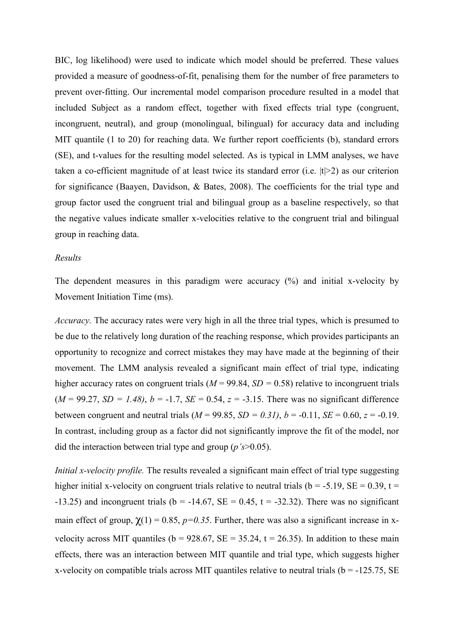BIC, log likelihood) were used to indicate which model should be preferred. These values provided a measure of goodness-of-fit, penalising them for the number of free parameters to prevent over-fitting. Our incremental model comparison procedure resulted in a model that included Subject as a random effect, together with fixed effects trial type (congruent, incongruent, neutral), and group (monolingual, bilingual) for accuracy data and including MIT quantile (1 to 20) for reaching data. We further report coefficients (b), standard errors (SE), and t-values for the resulting model selected. As is typical in LMM analyses, we have taken a co-efficient magnitude of at least twice its standard error (i.e.  $|t|>2$ ) as our criterion for significance (Baayen, Davidson, & Bates, 2008). The coefficients for the trial type and group factor used the congruent trial and bilingual group as a baseline respectively, so that the negative values indicate smaller x-velocities relative to the congruent trial and bilingual group in reaching data.

#### *Results*

The dependent measures in this paradigm were accuracy (%) and initial x-velocity by Movement Initiation Time (ms).

*Accuracy.* The accuracy rates were very high in all the three trial types, which is presumed to be due to the relatively long duration of the reaching response, which provides participants an opportunity to recognize and correct mistakes they may have made at the beginning of their movement. The LMM analysis revealed a significant main effect of trial type, indicating higher accuracy rates on congruent trials ( $M = 99.84$ ,  $SD = 0.58$ ) relative to incongruent trials  $(M = 99.27, SD = 1.48)$ ,  $b = -1.7, SE = 0.54, z = -3.15$ . There was no significant difference between congruent and neutral trials  $(M = 99.85, SD = 0.31)$ ,  $b = -0.11, SE = 0.60, z = -0.19$ . In contrast, including group as a factor did not significantly improve the fit of the model, nor did the interaction between trial type and group (*p's*>0.05).

*Initial x-velocity profile.* The results revealed a significant main effect of trial type suggesting higher initial x-velocity on congruent trials relative to neutral trials ( $b = -5.19$ ,  $SE = 0.39$ ,  $t =$ -13.25) and incongruent trials ( $b = -14.67$ ,  $SE = 0.45$ ,  $t = -32.32$ ). There was no significant main effect of group,  $\gamma(1) = 0.85$ ,  $p=0.35$ . Further, there was also a significant increase in xvelocity across MIT quantiles ( $b = 928.67$ ,  $SE = 35.24$ ,  $t = 26.35$ ). In addition to these main effects, there was an interaction between MIT quantile and trial type, which suggests higher x-velocity on compatible trials across MIT quantiles relative to neutral trials ( $b = -125.75$ , SE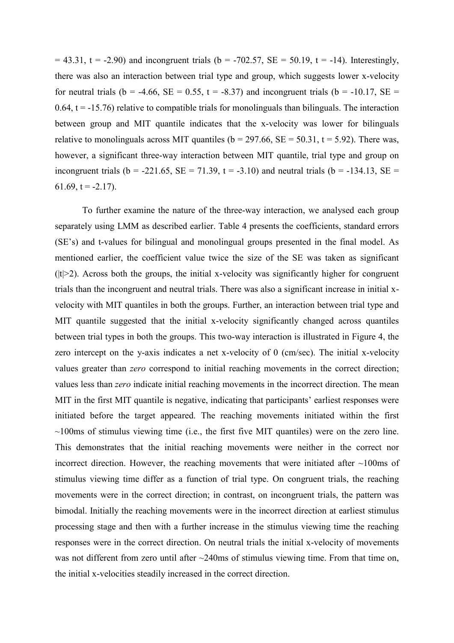$= 43.31$ , t = -2.90) and incongruent trials (b = -702.57, SE = 50.19, t = -14). Interestingly, there was also an interaction between trial type and group, which suggests lower x-velocity for neutral trials (b = -4.66, SE = 0.55, t = -8.37) and incongruent trials (b = -10.17, SE = 0.64,  $t = -15.76$ ) relative to compatible trials for monolinguals than bilinguals. The interaction between group and MIT quantile indicates that the x-velocity was lower for bilinguals relative to monolinguals across MIT quantiles ( $b = 297.66$ ,  $SE = 50.31$ ,  $t = 5.92$ ). There was, however, a significant three-way interaction between MIT quantile, trial type and group on incongruent trials (b = -221.65, SE = 71.39, t = -3.10) and neutral trials (b = -134.13, SE = 61.69,  $t = -2.17$ ).

To further examine the nature of the three-way interaction, we analysed each group separately using LMM as described earlier. Table 4 presents the coefficients, standard errors (SE's) and t-values for bilingual and monolingual groups presented in the final model. As mentioned earlier, the coefficient value twice the size of the SE was taken as significant  $(|t|>2)$ . Across both the groups, the initial x-velocity was significantly higher for congruent trials than the incongruent and neutral trials. There was also a significant increase in initial xvelocity with MIT quantiles in both the groups. Further, an interaction between trial type and MIT quantile suggested that the initial x-velocity significantly changed across quantiles between trial types in both the groups. This two-way interaction is illustrated in Figure 4, the zero intercept on the y-axis indicates a net x-velocity of 0 (cm/sec). The initial x-velocity values greater than *zero* correspond to initial reaching movements in the correct direction; values less than *zero* indicate initial reaching movements in the incorrect direction. The mean MIT in the first MIT quantile is negative, indicating that participants' earliest responses were initiated before the target appeared. The reaching movements initiated within the first  $\sim$ 100ms of stimulus viewing time (i.e., the first five MIT quantiles) were on the zero line. This demonstrates that the initial reaching movements were neither in the correct nor incorrect direction. However, the reaching movements that were initiated after  $\sim100$ ms of stimulus viewing time differ as a function of trial type. On congruent trials, the reaching movements were in the correct direction; in contrast, on incongruent trials, the pattern was bimodal. Initially the reaching movements were in the incorrect direction at earliest stimulus processing stage and then with a further increase in the stimulus viewing time the reaching responses were in the correct direction. On neutral trials the initial x-velocity of movements was not different from zero until after ~240ms of stimulus viewing time. From that time on, the initial x-velocities steadily increased in the correct direction.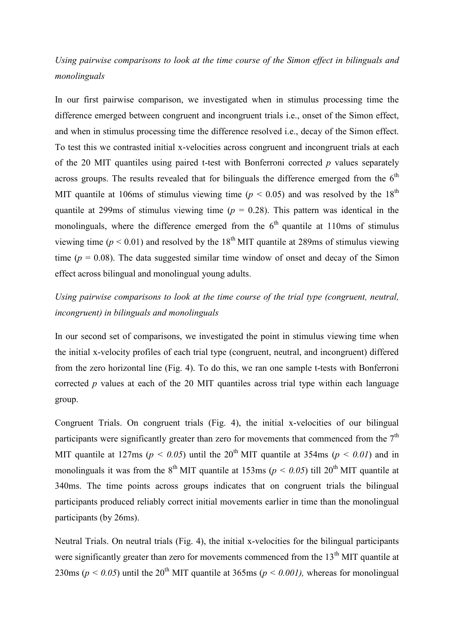*Using pairwise comparisons to look at the time course of the Simon effect in bilinguals and monolinguals*

In our first pairwise comparison, we investigated when in stimulus processing time the difference emerged between congruent and incongruent trials i.e., onset of the Simon effect, and when in stimulus processing time the difference resolved i.e., decay of the Simon effect. To test this we contrasted initial x-velocities across congruent and incongruent trials at each of the 20 MIT quantiles using paired t-test with Bonferroni corrected *p* values separately across groups. The results revealed that for bilinguals the difference emerged from the  $6<sup>th</sup>$ MIT quantile at 106ms of stimulus viewing time ( $p < 0.05$ ) and was resolved by the 18<sup>th</sup> quantile at 299ms of stimulus viewing time ( $p = 0.28$ ). This pattern was identical in the monolinguals, where the difference emerged from the  $6<sup>th</sup>$  quantile at 110ms of stimulus viewing time ( $p < 0.01$ ) and resolved by the 18<sup>th</sup> MIT quantile at 289ms of stimulus viewing time ( $p = 0.08$ ). The data suggested similar time window of onset and decay of the Simon effect across bilingual and monolingual young adults.

## *Using pairwise comparisons to look at the time course of the trial type (congruent, neutral, incongruent) in bilinguals and monolinguals*

In our second set of comparisons, we investigated the point in stimulus viewing time when the initial x-velocity profiles of each trial type (congruent, neutral, and incongruent) differed from the zero horizontal line (Fig. 4). To do this, we ran one sample t-tests with Bonferroni corrected *p* values at each of the 20 MIT quantiles across trial type within each language group.

Congruent Trials. On congruent trials (Fig. 4), the initial x-velocities of our bilingual participants were significantly greater than zero for movements that commenced from the  $7<sup>th</sup>$ MIT quantile at 127ms ( $p < 0.05$ ) until the 20<sup>th</sup> MIT quantile at 354ms ( $p < 0.01$ ) and in monolinguals it was from the 8<sup>th</sup> MIT quantile at 153ms ( $p < 0.05$ ) till 20<sup>th</sup> MIT quantile at 340ms. The time points across groups indicates that on congruent trials the bilingual participants produced reliably correct initial movements earlier in time than the monolingual participants (by 26ms).

Neutral Trials. On neutral trials (Fig. 4), the initial x-velocities for the bilingual participants were significantly greater than zero for movements commenced from the 13<sup>th</sup> MIT quantile at 230ms ( $p < 0.05$ ) until the 20<sup>th</sup> MIT quantile at 365ms ( $p < 0.001$ ), whereas for monolingual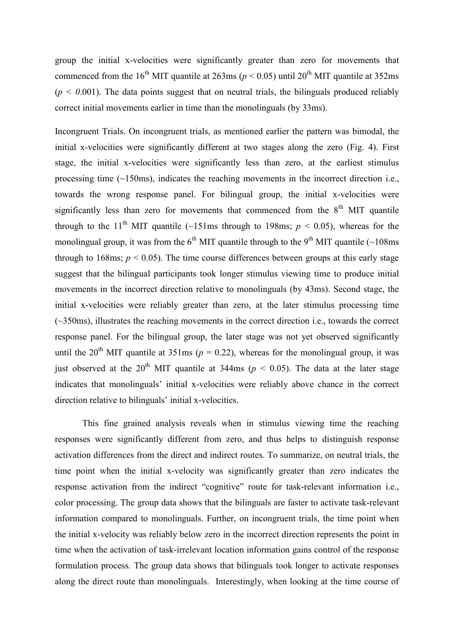group the initial x-velocities were significantly greater than zero for movements that commenced from the 16<sup>th</sup> MIT quantile at 263ms ( $p < 0.05$ ) until 20<sup>th</sup> MIT quantile at 352ms  $(p < 0.001)$ . The data points suggest that on neutral trials, the bilinguals produced reliably correct initial movements earlier in time than the monolinguals (by 33ms).

Incongruent Trials. On incongruent trials, as mentioned earlier the pattern was bimodal, the initial x-velocities were significantly different at two stages along the zero (Fig. 4). First stage, the initial x-velocities were significantly less than zero, at the earliest stimulus processing time (~150ms), indicates the reaching movements in the incorrect direction i.e., towards the wrong response panel. For bilingual group, the initial x-velocities were significantly less than zero for movements that commenced from the  $8<sup>th</sup>$  MIT quantile through to the 11<sup>th</sup> MIT quantile (~151ms through to 198ms;  $p \le 0.05$ ), whereas for the monolingual group, it was from the  $6<sup>th</sup>$  MIT quantile through to the 9<sup>th</sup> MIT quantile (~108ms) through to 168ms;  $p < 0.05$ ). The time course differences between groups at this early stage suggest that the bilingual participants took longer stimulus viewing time to produce initial movements in the incorrect direction relative to monolinguals (by 43ms). Second stage, the initial x-velocities were reliably greater than zero, at the later stimulus processing time (~350ms), illustrates the reaching movements in the correct direction i.e., towards the correct response panel. For the bilingual group, the later stage was not yet observed significantly until the 20<sup>th</sup> MIT quantile at 351ms ( $p = 0.22$ ), whereas for the monolingual group, it was just observed at the 20<sup>th</sup> MIT quantile at 344ms ( $p < 0.05$ ). The data at the later stage indicates that monolinguals' initial x-velocities were reliably above chance in the correct direction relative to bilinguals' initial x-velocities.

This fine grained analysis reveals when in stimulus viewing time the reaching responses were significantly different from zero, and thus helps to distinguish response activation differences from the direct and indirect routes. To summarize, on neutral trials, the time point when the initial x-velocity was significantly greater than zero indicates the response activation from the indirect "cognitive" route for task-relevant information i.e., color processing. The group data shows that the bilinguals are faster to activate task-relevant information compared to monolinguals. Further, on incongruent trials, the time point when the initial x-velocity was reliably below zero in the incorrect direction represents the point in time when the activation of task-irrelevant location information gains control of the response formulation process. The group data shows that bilinguals took longer to activate responses along the direct route than monolinguals. Interestingly, when looking at the time course of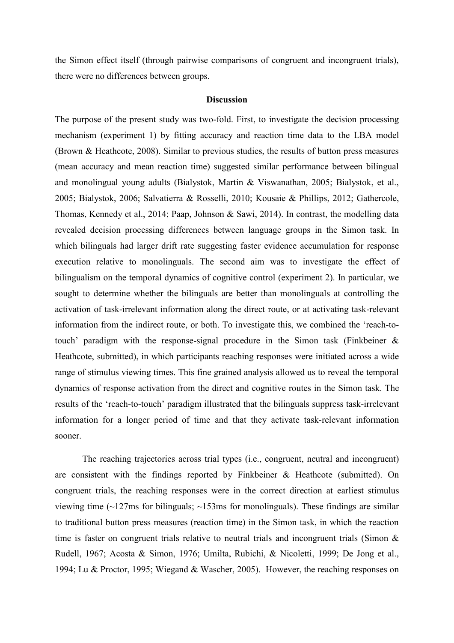the Simon effect itself (through pairwise comparisons of congruent and incongruent trials), there were no differences between groups.

#### **Discussion**

The purpose of the present study was two-fold. First, to investigate the decision processing mechanism (experiment 1) by fitting accuracy and reaction time data to the LBA model (Brown & Heathcote, 2008). Similar to previous studies, the results of button press measures (mean accuracy and mean reaction time) suggested similar performance between bilingual and monolingual young adults (Bialystok, Martin & Viswanathan, 2005; Bialystok, et al., 2005; Bialystok, 2006; Salvatierra & Rosselli, 2010; Kousaie & Phillips, 2012; Gathercole, Thomas, Kennedy et al., 2014; Paap, Johnson & Sawi, 2014). In contrast, the modelling data revealed decision processing differences between language groups in the Simon task. In which bilinguals had larger drift rate suggesting faster evidence accumulation for response execution relative to monolinguals. The second aim was to investigate the effect of bilingualism on the temporal dynamics of cognitive control (experiment 2). In particular, we sought to determine whether the bilinguals are better than monolinguals at controlling the activation of task-irrelevant information along the direct route, or at activating task-relevant information from the indirect route, or both. To investigate this, we combined the 'reach-totouch' paradigm with the response-signal procedure in the Simon task (Finkbeiner & Heathcote, submitted), in which participants reaching responses were initiated across a wide range of stimulus viewing times. This fine grained analysis allowed us to reveal the temporal dynamics of response activation from the direct and cognitive routes in the Simon task. The results of the 'reach-to-touch' paradigm illustrated that the bilinguals suppress task-irrelevant information for a longer period of time and that they activate task-relevant information sooner.

The reaching trajectories across trial types (i.e., congruent, neutral and incongruent) are consistent with the findings reported by Finkbeiner & Heathcote (submitted). On congruent trials, the reaching responses were in the correct direction at earliest stimulus viewing time  $\left(\sim 127 \text{ms}$  for bilinguals;  $\sim 153 \text{ms}$  for monolinguals). These findings are similar to traditional button press measures (reaction time) in the Simon task, in which the reaction time is faster on congruent trials relative to neutral trials and incongruent trials (Simon  $\&$ Rudell, 1967; Acosta & Simon, 1976; Umilta, Rubichi, & Nicoletti, 1999; De Jong et al., 1994; Lu & Proctor, 1995; Wiegand & Wascher, 2005). However, the reaching responses on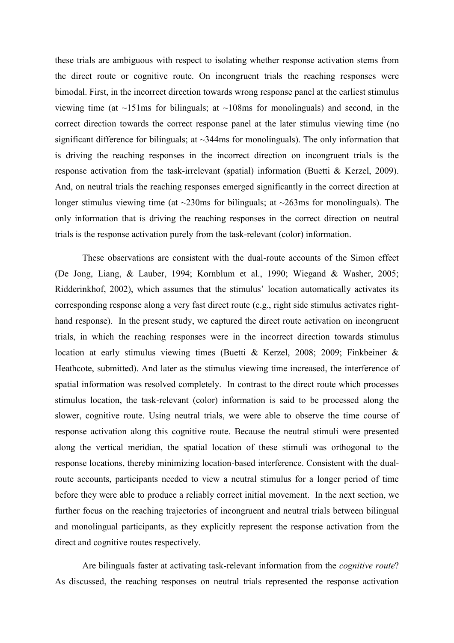these trials are ambiguous with respect to isolating whether response activation stems from the direct route or cognitive route. On incongruent trials the reaching responses were bimodal. First, in the incorrect direction towards wrong response panel at the earliest stimulus viewing time (at  $\sim$ 151ms for bilinguals; at  $\sim$ 108ms for monolinguals) and second, in the correct direction towards the correct response panel at the later stimulus viewing time (no significant difference for bilinguals; at  $\sim$ 344ms for monolinguals). The only information that is driving the reaching responses in the incorrect direction on incongruent trials is the response activation from the task-irrelevant (spatial) information (Buetti & Kerzel, 2009). And, on neutral trials the reaching responses emerged significantly in the correct direction at longer stimulus viewing time (at  $\sim$ 230ms for bilinguals; at  $\sim$ 263ms for monolinguals). The only information that is driving the reaching responses in the correct direction on neutral trials is the response activation purely from the task-relevant (color) information.

These observations are consistent with the dual-route accounts of the Simon effect (De Jong, Liang, & Lauber, 1994; Kornblum et al., 1990; Wiegand & Washer, 2005; Ridderinkhof, 2002), which assumes that the stimulus' location automatically activates its corresponding response along a very fast direct route (e.g., right side stimulus activates righthand response). In the present study, we captured the direct route activation on incongruent trials, in which the reaching responses were in the incorrect direction towards stimulus location at early stimulus viewing times (Buetti & Kerzel, 2008; 2009; Finkbeiner & Heathcote, submitted). And later as the stimulus viewing time increased, the interference of spatial information was resolved completely. In contrast to the direct route which processes stimulus location, the task-relevant (color) information is said to be processed along the slower, cognitive route. Using neutral trials, we were able to observe the time course of response activation along this cognitive route. Because the neutral stimuli were presented along the vertical meridian, the spatial location of these stimuli was orthogonal to the response locations, thereby minimizing location-based interference. Consistent with the dualroute accounts, participants needed to view a neutral stimulus for a longer period of time before they were able to produce a reliably correct initial movement. In the next section, we further focus on the reaching trajectories of incongruent and neutral trials between bilingual and monolingual participants, as they explicitly represent the response activation from the direct and cognitive routes respectively.

Are bilinguals faster at activating task-relevant information from the *cognitive route*? As discussed, the reaching responses on neutral trials represented the response activation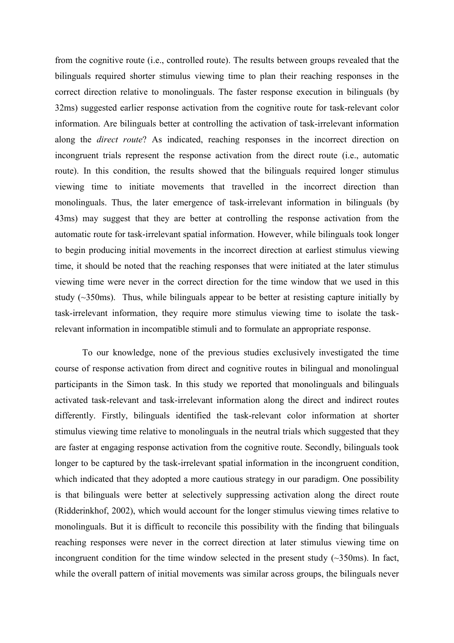from the cognitive route (i.e., controlled route). The results between groups revealed that the bilinguals required shorter stimulus viewing time to plan their reaching responses in the correct direction relative to monolinguals. The faster response execution in bilinguals (by 32ms) suggested earlier response activation from the cognitive route for task-relevant color information. Are bilinguals better at controlling the activation of task-irrelevant information along the *direct route*? As indicated, reaching responses in the incorrect direction on incongruent trials represent the response activation from the direct route (i.e., automatic route). In this condition, the results showed that the bilinguals required longer stimulus viewing time to initiate movements that travelled in the incorrect direction than monolinguals. Thus, the later emergence of task-irrelevant information in bilinguals (by 43ms) may suggest that they are better at controlling the response activation from the automatic route for task-irrelevant spatial information. However, while bilinguals took longer to begin producing initial movements in the incorrect direction at earliest stimulus viewing time, it should be noted that the reaching responses that were initiated at the later stimulus viewing time were never in the correct direction for the time window that we used in this study (~350ms). Thus, while bilinguals appear to be better at resisting capture initially by task-irrelevant information, they require more stimulus viewing time to isolate the taskrelevant information in incompatible stimuli and to formulate an appropriate response.

To our knowledge, none of the previous studies exclusively investigated the time course of response activation from direct and cognitive routes in bilingual and monolingual participants in the Simon task. In this study we reported that monolinguals and bilinguals activated task-relevant and task-irrelevant information along the direct and indirect routes differently. Firstly, bilinguals identified the task-relevant color information at shorter stimulus viewing time relative to monolinguals in the neutral trials which suggested that they are faster at engaging response activation from the cognitive route. Secondly, bilinguals took longer to be captured by the task-irrelevant spatial information in the incongruent condition, which indicated that they adopted a more cautious strategy in our paradigm. One possibility is that bilinguals were better at selectively suppressing activation along the direct route (Ridderinkhof, 2002), which would account for the longer stimulus viewing times relative to monolinguals. But it is difficult to reconcile this possibility with the finding that bilinguals reaching responses were never in the correct direction at later stimulus viewing time on incongruent condition for the time window selected in the present study  $(\sim 350 \text{ms})$ . In fact, while the overall pattern of initial movements was similar across groups, the bilinguals never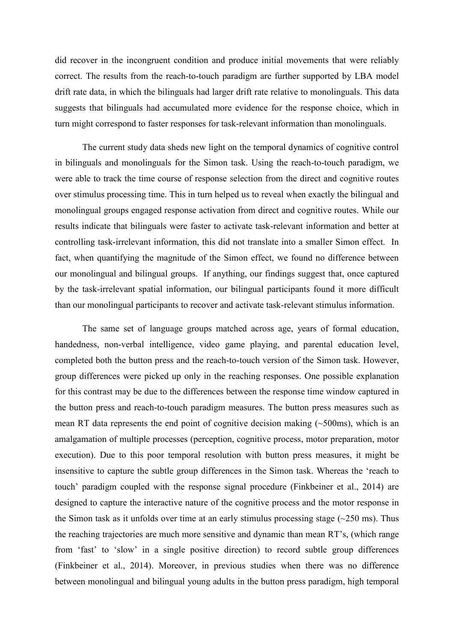did recover in the incongruent condition and produce initial movements that were reliably correct. The results from the reach-to-touch paradigm are further supported by LBA model drift rate data, in which the bilinguals had larger drift rate relative to monolinguals. This data suggests that bilinguals had accumulated more evidence for the response choice, which in turn might correspond to faster responses for task-relevant information than monolinguals.

The current study data sheds new light on the temporal dynamics of cognitive control in bilinguals and monolinguals for the Simon task. Using the reach-to-touch paradigm, we were able to track the time course of response selection from the direct and cognitive routes over stimulus processing time. This in turn helped us to reveal when exactly the bilingual and monolingual groups engaged response activation from direct and cognitive routes. While our results indicate that bilinguals were faster to activate task-relevant information and better at controlling task-irrelevant information, this did not translate into a smaller Simon effect. In fact, when quantifying the magnitude of the Simon effect, we found no difference between our monolingual and bilingual groups. If anything, our findings suggest that, once captured by the task-irrelevant spatial information, our bilingual participants found it more difficult than our monolingual participants to recover and activate task-relevant stimulus information.

The same set of language groups matched across age, years of formal education, handedness, non-verbal intelligence, video game playing, and parental education level, completed both the button press and the reach-to-touch version of the Simon task. However, group differences were picked up only in the reaching responses. One possible explanation for this contrast may be due to the differences between the response time window captured in the button press and reach-to-touch paradigm measures. The button press measures such as mean RT data represents the end point of cognitive decision making  $(\sim 500 \text{ms})$ , which is an amalgamation of multiple processes (perception, cognitive process, motor preparation, motor execution). Due to this poor temporal resolution with button press measures, it might be insensitive to capture the subtle group differences in the Simon task. Whereas the 'reach to touch' paradigm coupled with the response signal procedure (Finkbeiner et al., 2014) are designed to capture the interactive nature of the cognitive process and the motor response in the Simon task as it unfolds over time at an early stimulus processing stage  $(\sim 250 \text{ ms})$ . Thus the reaching trajectories are much more sensitive and dynamic than mean RT's, (which range from 'fast' to 'slow' in a single positive direction) to record subtle group differences (Finkbeiner et al., 2014). Moreover, in previous studies when there was no difference between monolingual and bilingual young adults in the button press paradigm, high temporal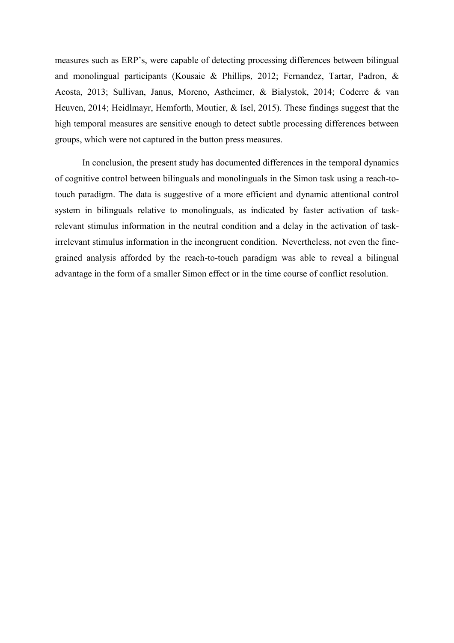measures such as ERP's, were capable of detecting processing differences between bilingual and monolingual participants (Kousaie & Phillips, 2012; Fernandez, Tartar, Padron, & Acosta, 2013; Sullivan, Janus, Moreno, Astheimer, & Bialystok, 2014; Coderre & van Heuven, 2014; Heidlmayr, Hemforth, Moutier, & Isel, 2015). These findings suggest that the high temporal measures are sensitive enough to detect subtle processing differences between groups, which were not captured in the button press measures.

In conclusion, the present study has documented differences in the temporal dynamics of cognitive control between bilinguals and monolinguals in the Simon task using a reach-totouch paradigm. The data is suggestive of a more efficient and dynamic attentional control system in bilinguals relative to monolinguals, as indicated by faster activation of taskrelevant stimulus information in the neutral condition and a delay in the activation of taskirrelevant stimulus information in the incongruent condition. Nevertheless, not even the finegrained analysis afforded by the reach-to-touch paradigm was able to reveal a bilingual advantage in the form of a smaller Simon effect or in the time course of conflict resolution.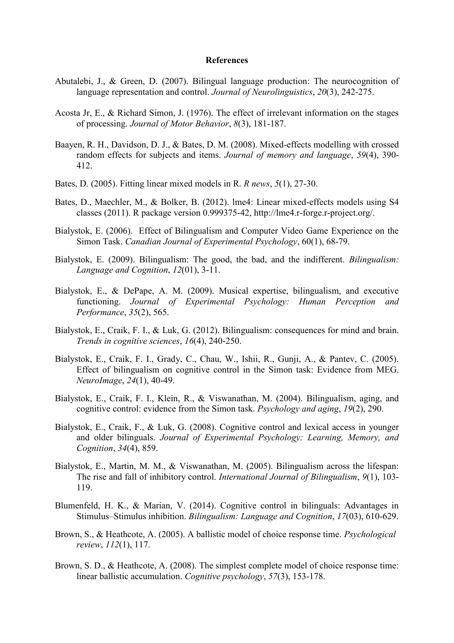#### **References**

- Abutalebi, J., & Green, D. (2007). Bilingual language production: The neurocognition of language representation and control. *Journal of Neurolinguistics*, *20*(3), 242-275.
- Acosta Jr, E., & Richard Simon, J. (1976). The effect of irrelevant information on the stages of processing. *Journal of Motor Behavior*, *8*(3), 181-187.
- Baayen, R. H., Davidson, D. J., & Bates, D. M. (2008). Mixed-effects modelling with crossed random effects for subjects and items. *Journal of memory and language*, *59*(4), 390- 412.
- Bates, D. (2005). Fitting linear mixed models in R. *R news*, *5*(1), 27-30.
- Bates, D., Maechler, M., & Bolker, B. (2012). lme4: Linear mixed-effects models using S4 classes (2011). R package version 0.999375-42, [http://lme4.r-forge.r-project.org/.](http://lme4.r-forge.r-project.org/)
- Bialystok, E. (2006). Effect of Bilingualism and Computer Video Game Experience on the Simon Task. *Canadian Journal of Experimental Psychology*, 60(1), 68-79.
- Bialystok, E. (2009). Bilingualism: The good, the bad, and the indifferent. *Bilingualism: Language and Cognition*, *12*(01), 3-11.
- Bialystok, E., & DePape, A. M. (2009). Musical expertise, bilingualism, and executive functioning. *Journal of Experimental Psychology: Human Perception and Performance*, *35*(2), 565.
- Bialystok, E., Craik, F. I., & Luk, G. (2012). Bilingualism: consequences for mind and brain. *Trends in cognitive sciences*, *16*(4), 240-250.
- Bialystok, E., Craik, F. I., Grady, C., Chau, W., Ishii, R., Gunji, A., & Pantev, C. (2005). Effect of bilingualism on cognitive control in the Simon task: Evidence from MEG. *NeuroImage*, *24*(1), 40-49.
- Bialystok, E., Craik, F. I., Klein, R., & Viswanathan, M. (2004). Bilingualism, aging, and cognitive control: evidence from the Simon task. *Psychology and aging*, *19*(2), 290.
- Bialystok, E., Craik, F., & Luk, G. (2008). Cognitive control and lexical access in younger and older bilinguals. *Journal of Experimental Psychology: Learning, Memory, and Cognition*, *34*(4), 859.
- Bialystok, E., Martin, M. M., & Viswanathan, M. (2005). Bilingualism across the lifespan: The rise and fall of inhibitory control. *International Journal of Bilingualism*, *9*(1), 103- 119.
- Blumenfeld, H. K., & Marian, V. (2014). Cognitive control in bilinguals: Advantages in Stimulus–Stimulus inhibition. *Bilingualism: Language and Cognition*, *17*(03), 610-629.
- Brown, S., & Heathcote, A. (2005). A ballistic model of choice response time. *Psychological review*, *112*(1), 117.
- Brown, S. D., & Heathcote, A. (2008). The simplest complete model of choice response time: linear ballistic accumulation. *Cognitive psychology*, *57*(3), 153-178.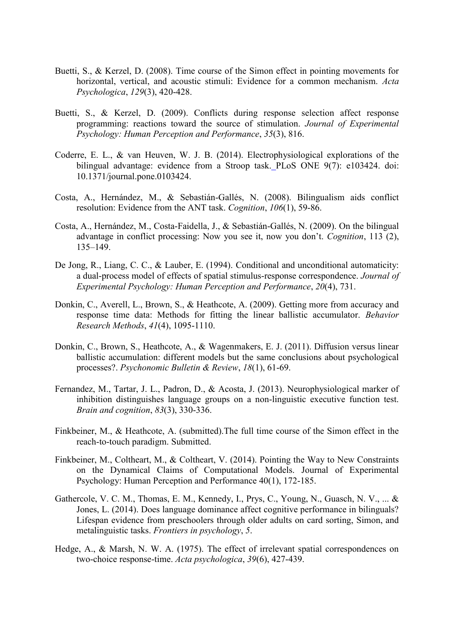- Buetti, S., & Kerzel, D. (2008). Time course of the Simon effect in pointing movements for horizontal, vertical, and acoustic stimuli: Evidence for a common mechanism. *Acta Psychologica*, *129*(3), 420-428.
- Buetti, S., & Kerzel, D. (2009). Conflicts during response selection affect response programming: reactions toward the source of stimulation. *Journal of Experimental Psychology: Human Perception and Performance*, *35*(3), 816.
- Coderre, E. L., & van Heuven, W. J. B. (2014). Electrophysiological explorations of the bilingual advantage: evidence from a Stroop task. PLoS ONE 9(7): e103424. doi: 10.1371/journal.pone.0103424.
- Costa, A., Hernández, M., & Sebastián-Gallés, N. (2008). Bilingualism aids conflict resolution: Evidence from the ANT task. *Cognition*, *106*(1), 59-86.
- Costa, A., Hernández, M., Costa-Faidella, J., & Sebastián-Gallés, N. (2009). On the bilingual advantage in conflict processing: Now you see it, now you don't. *Cognition*, 113 (2), 135–149.
- De Jong, R., Liang, C. C., & Lauber, E. (1994). Conditional and unconditional automaticity: a dual-process model of effects of spatial stimulus-response correspondence. *Journal of Experimental Psychology: Human Perception and Performance*, *20*(4), 731.
- Donkin, C., Averell, L., Brown, S., & Heathcote, A. (2009). Getting more from accuracy and response time data: Methods for fitting the linear ballistic accumulator. *Behavior Research Methods*, *41*(4), 1095-1110.
- Donkin, C., Brown, S., Heathcote, A., & Wagenmakers, E. J. (2011). Diffusion versus linear ballistic accumulation: different models but the same conclusions about psychological processes?. *Psychonomic Bulletin & Review*, *18*(1), 61-69.
- Fernandez, M., Tartar, J. L., Padron, D., & Acosta, J. (2013). Neurophysiological marker of inhibition distinguishes language groups on a non-linguistic executive function test. *Brain and cognition*, *83*(3), 330-336.
- Finkbeiner, M., & Heathcote, A. (submitted).The full time course of the Simon effect in the reach-to-touch paradigm. Submitted.
- Finkbeiner, M., Coltheart, M., & Coltheart, V. (2014). Pointing the Way to New Constraints on the Dynamical Claims of Computational Models. Journal of Experimental Psychology: Human Perception and Performance 40(1), 172-185.
- Gathercole, V. C. M., Thomas, E. M., Kennedy, I., Prys, C., Young, N., Guasch, N. V., ... & Jones, L. (2014). Does language dominance affect cognitive performance in bilinguals? Lifespan evidence from preschoolers through older adults on card sorting, Simon, and metalinguistic tasks. *Frontiers in psychology*, *5*.
- Hedge, A., & Marsh, N. W. A. (1975). The effect of irrelevant spatial correspondences on two-choice response-time. *Acta psychologica*, *39*(6), 427-439.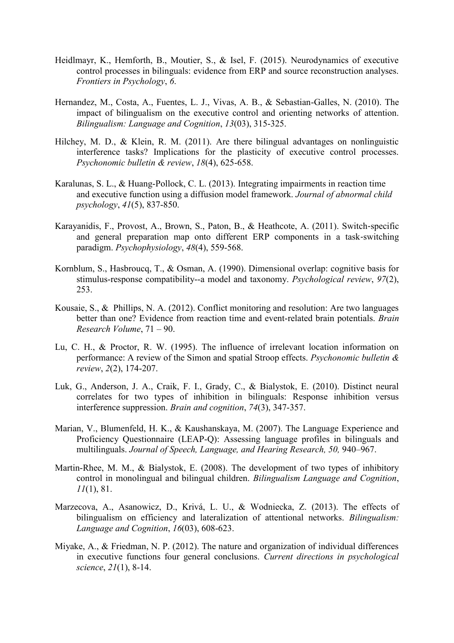- Heidlmayr, K., Hemforth, B., Moutier, S., & Isel, F. (2015). Neurodynamics of executive control processes in bilinguals: evidence from ERP and source reconstruction analyses. *Frontiers in Psychology*, *6*.
- Hernandez, M., Costa, A., Fuentes, L. J., Vivas, A. B., & Sebastian-Galles, N. (2010). The impact of bilingualism on the executive control and orienting networks of attention. *Bilingualism: Language and Cognition*, *13*(03), 315-325.
- Hilchey, M. D., & Klein, R. M. (2011). Are there bilingual advantages on nonlinguistic interference tasks? Implications for the plasticity of executive control processes. *Psychonomic bulletin & review*, *18*(4), 625-658.
- Karalunas, S. L., & Huang-Pollock, C. L. (2013). Integrating impairments in reaction time and executive function using a diffusion model framework. *Journal of abnormal child psychology*, *41*(5), 837-850.
- Karayanidis, F., Provost, A., Brown, S., Paton, B., & Heathcote, A. (2011). Switch-specific and general preparation map onto different ERP components in a task‐switching paradigm. *Psychophysiology*, *48*(4), 559-568.
- Kornblum, S., Hasbroucq, T., & Osman, A. (1990). Dimensional overlap: cognitive basis for stimulus-response compatibility--a model and taxonomy. *Psychological review*, *97*(2), 253.
- Kousaie, S., & Phillips, N. A. (2012). Conflict monitoring and resolution: Are two languages better than one? Evidence from reaction time and event-related brain potentials. *Brain Research Volume*, 71 – 90.
- Lu, C. H., & Proctor, R. W. (1995). The influence of irrelevant location information on performance: A review of the Simon and spatial Stroop effects. *Psychonomic bulletin & review*, *2*(2), 174-207.
- Luk, G., Anderson, J. A., Craik, F. I., Grady, C., & Bialystok, E. (2010). Distinct neural correlates for two types of inhibition in bilinguals: Response inhibition versus interference suppression. *Brain and cognition*, *74*(3), 347-357.
- Marian, V., Blumenfeld, H. K., & Kaushanskaya, M. (2007). The Language Experience and Proficiency Questionnaire (LEAP-Q): Assessing language profiles in bilinguals and multilinguals. *Journal of Speech, Language, and Hearing Research, 50, 940–967.*
- Martin-Rhee, M. M., & Bialystok, E. (2008). The development of two types of inhibitory control in monolingual and bilingual children. *Bilingualism Language and Cognition*, *11*(1), 81.
- Marzecova, A., Asanowicz, D., Krivá, L. U., & Wodniecka, Z. (2013). The effects of bilingualism on efficiency and lateralization of attentional networks. *Bilingualism: Language and Cognition*, *16*(03), 608-623.
- Miyake, A., & Friedman, N. P. (2012). The nature and organization of individual differences in executive functions four general conclusions. *Current directions in psychological science*, *21*(1), 8-14.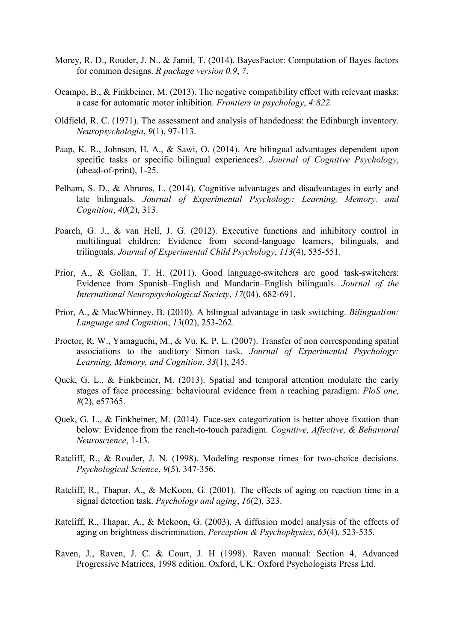- Morey, R. D., Rouder, J. N., & Jamil, T. (2014). BayesFactor: Computation of Bayes factors for common designs. *R package version 0.9*, *7*.
- Ocampo, B., & Finkbeiner, M. (2013). The negative compatibility effect with relevant masks: a case for automatic motor inhibition. *Frontiers in psychology*, *4:822*.
- Oldfield, R. C. (1971). The assessment and analysis of handedness: the Edinburgh inventory. *Neuropsychologia*, *9*(1), 97-113.
- Paap, K. R., Johnson, H. A., & Sawi, O. (2014). Are bilingual advantages dependent upon specific tasks or specific bilingual experiences?. *Journal of Cognitive Psychology*, (ahead-of-print), 1-25.
- Pelham, S. D., & Abrams, L. (2014). Cognitive advantages and disadvantages in early and late bilinguals. *Journal of Experimental Psychology: Learning, Memory, and Cognition*, *40*(2), 313.
- Poarch, G. J., & van Hell, J. G. (2012). Executive functions and inhibitory control in multilingual children: Evidence from second-language learners, bilinguals, and trilinguals. *Journal of Experimental Child Psychology*, *113*(4), 535-551.
- Prior, A., & Gollan, T. H. (2011). Good language-switchers are good task-switchers: Evidence from Spanish–English and Mandarin–English bilinguals. *Journal of the International Neuropsychological Society*, *17*(04), 682-691.
- Prior, A., & MacWhinney, B. (2010). A bilingual advantage in task switching. *Bilingualism: Language and Cognition*, *13*(02), 253-262.
- Proctor, R. W., Yamaguchi, M., & Vu, K. P. L. (2007). Transfer of non corresponding spatial associations to the auditory Simon task. *Journal of Experimental Psychology: Learning, Memory, and Cognition*, *33*(1), 245.
- Quek, G. L., & Finkbeiner, M. (2013). Spatial and temporal attention modulate the early stages of face processing: behavioural evidence from a reaching paradigm. *PloS one*, *8*(2), e57365.
- Quek, G. L., & Finkbeiner, M. (2014). Face-sex categorization is better above fixation than below: Evidence from the reach-to-touch paradigm. *Cognitive, Affective, & Behavioral Neuroscience*, 1-13.
- Ratcliff, R., & Rouder, J. N. (1998). Modeling response times for two-choice decisions. *Psychological Science*, *9*(5), 347-356.
- Ratcliff, R., Thapar, A., & McKoon, G. (2001). The effects of aging on reaction time in a signal detection task. *Psychology and aging*, *16*(2), 323.
- Ratcliff, R., Thapar, A., & Mckoon, G. (2003). A diffusion model analysis of the effects of aging on brightness discrimination. *Perception & Psychophysics*, *65*(4), 523-535.
- Raven, J., Raven, J. C. & Court, J. H (1998). Raven manual: Section 4, Advanced Progressive Matrices, 1998 edition. Oxford, UK: Oxford Psychologists Press Ltd.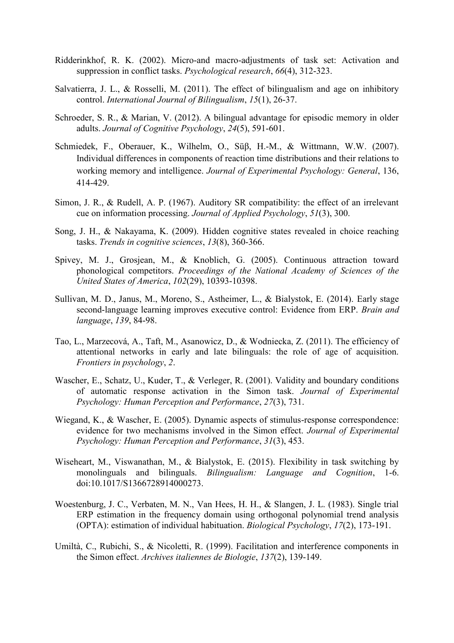- Ridderinkhof, R. K. (2002). Micro-and macro-adjustments of task set: Activation and suppression in conflict tasks. *Psychological research*, *66*(4), 312-323.
- Salvatierra, J. L., & Rosselli, M. (2011). The effect of bilingualism and age on inhibitory control. *International Journal of Bilingualism*, *15*(1), 26-37.
- Schroeder, S. R., & Marian, V. (2012). A bilingual advantage for episodic memory in older adults. *Journal of Cognitive Psychology*, *24*(5), 591-601.
- Schmiedek, F., Oberauer, K., Wilhelm, O., Süβ, H.-M., & Wittmann, W.W. (2007). Individual differences in components of reaction time distributions and their relations to working memory and intelligence. *Journal of Experimental Psychology: General*, 136, 414-429.
- Simon, J. R., & Rudell, A. P. (1967). Auditory SR compatibility: the effect of an irrelevant cue on information processing. *Journal of Applied Psychology*, *51*(3), 300.
- Song, J. H., & Nakayama, K. (2009). Hidden cognitive states revealed in choice reaching tasks. *Trends in cognitive sciences*, *13*(8), 360-366.
- Spivey, M. J., Grosjean, M., & Knoblich, G. (2005). Continuous attraction toward phonological competitors. *Proceedings of the National Academy of Sciences of the United States of America*, *102*(29), 10393-10398.
- Sullivan, M. D., Janus, M., Moreno, S., Astheimer, L., & Bialystok, E. (2014). Early stage second-language learning improves executive control: Evidence from ERP. *Brain and language*, *139*, 84-98.
- Tao, L., Marzecová, A., Taft, M., Asanowicz, D., & Wodniecka, Z. (2011). The efficiency of attentional networks in early and late bilinguals: the role of age of acquisition. *Frontiers in psychology*, *2*.
- Wascher, E., Schatz, U., Kuder, T., & Verleger, R. (2001). Validity and boundary conditions of automatic response activation in the Simon task. *Journal of Experimental Psychology: Human Perception and Performance*, *27*(3), 731.
- Wiegand, K., & Wascher, E. (2005). Dynamic aspects of stimulus-response correspondence: evidence for two mechanisms involved in the Simon effect. *Journal of Experimental Psychology: Human Perception and Performance*, *31*(3), 453.
- Wiseheart, M., Viswanathan, M., & Bialystok, E. (2015). Flexibility in task switching by monolinguals and bilinguals. *Bilingualism: Language and Cognition*, 1-6. doi:10.1017/S1366728914000273.
- Woestenburg, J. C., Verbaten, M. N., Van Hees, H. H., & Slangen, J. L. (1983). Single trial ERP estimation in the frequency domain using orthogonal polynomial trend analysis (OPTA): estimation of individual habituation. *Biological Psychology*, *17*(2), 173-191.
- Umiltà, C., Rubichi, S., & Nicoletti, R. (1999). Facilitation and interference components in the Simon effect. *Archives italiennes de Biologie*, *137*(2), 139-149.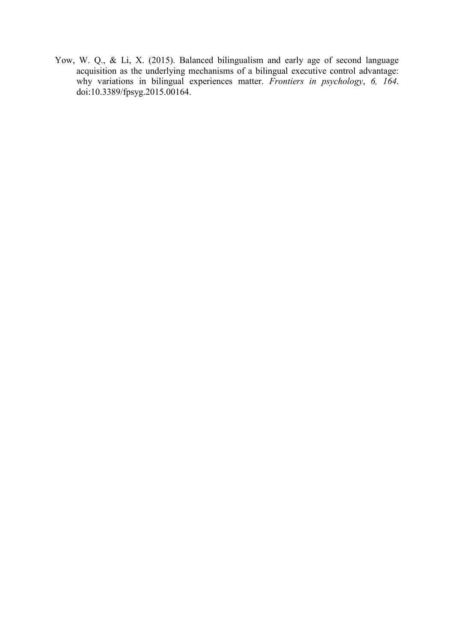Yow, W. Q., & Li, X. (2015). Balanced bilingualism and early age of second language acquisition as the underlying mechanisms of a bilingual executive control advantage: why variations in bilingual experiences matter. *Frontiers in psychology*, *6, 164*. doi:10.3389/fpsyg.2015.00164.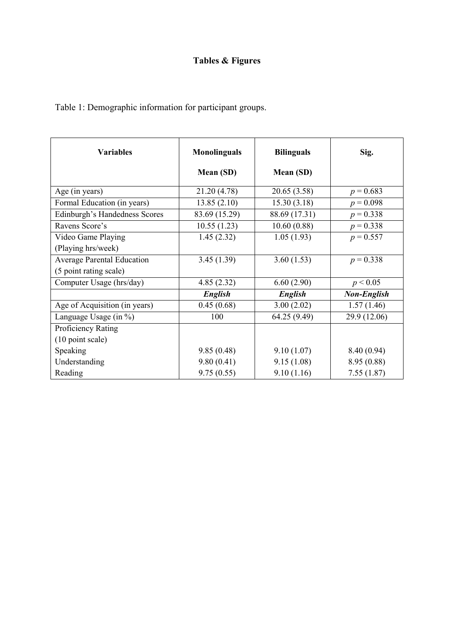## **Tables & Figures**

Table 1: Demographic information for participant groups.

| <b>Variables</b>                  | <b>Monolinguals</b> | <b>Bilinguals</b> | Sig.               |
|-----------------------------------|---------------------|-------------------|--------------------|
|                                   | Mean (SD)           | Mean (SD)         |                    |
| Age (in years)                    | 21.20 (4.78)        | 20.65 (3.58)      | $p = 0.683$        |
| Formal Education (in years)       | 13.85(2.10)         | 15.30(3.18)       | $p = 0.098$        |
| Edinburgh's Handedness Scores     | 83.69 (15.29)       | 88.69 (17.31)     | $p = 0.338$        |
| Ravens Score's                    | 10.55(1.23)         | 10.60(0.88)       | $p = 0.338$        |
| Video Game Playing                | 1.45(2.32)          | 1.05(1.93)        | $p = 0.557$        |
| (Playing hrs/week)                |                     |                   |                    |
| <b>Average Parental Education</b> | 3.45(1.39)          | 3.60(1.53)        | $p = 0.338$        |
| (5 point rating scale)            |                     |                   |                    |
| Computer Usage (hrs/day)          | 4.85(2.32)          | 6.60(2.90)        | p < 0.05           |
|                                   | English             | English           | <b>Non-English</b> |
| Age of Acquisition (in years)     | 0.45(0.68)          | 3.00(2.02)        | 1.57(1.46)         |
| Language Usage $(in %)$           | 100                 | 64.25 (9.49)      | 29.9 (12.06)       |
| Proficiency Rating                |                     |                   |                    |
| (10 point scale)                  |                     |                   |                    |
| Speaking                          | 9.85(0.48)          | 9.10(1.07)        | 8.40 (0.94)        |
| Understanding                     | 9.80(0.41)          | 9.15(1.08)        | 8.95 (0.88)        |
| Reading                           | 9.75(0.55)          | 9.10(1.16)        | 7.55(1.87)         |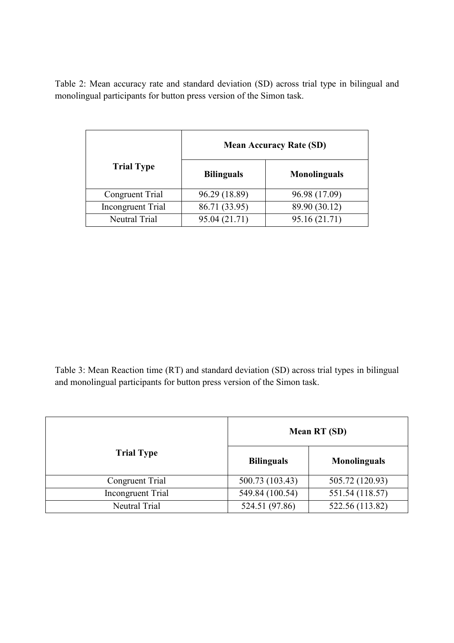Table 2: Mean accuracy rate and standard deviation (SD) across trial type in bilingual and monolingual participants for button press version of the Simon task.

|                          | <b>Mean Accuracy Rate (SD)</b> |                     |  |
|--------------------------|--------------------------------|---------------------|--|
| <b>Trial Type</b>        | <b>Bilinguals</b>              | <b>Monolinguals</b> |  |
| Congruent Trial          | 96.29 (18.89)                  | 96.98 (17.09)       |  |
| <b>Incongruent Trial</b> | 86.71 (33.95)                  | 89.90 (30.12)       |  |
| Neutral Trial            | 95.04 (21.71)                  | 95.16 (21.71)       |  |

Table 3: Mean Reaction time (RT) and standard deviation (SD) across trial types in bilingual and monolingual participants for button press version of the Simon task.

|                          | <b>Mean RT (SD)</b> |                     |  |
|--------------------------|---------------------|---------------------|--|
| <b>Trial Type</b>        | <b>Bilinguals</b>   | <b>Monolinguals</b> |  |
| Congruent Trial          | 500.73 (103.43)     | 505.72 (120.93)     |  |
| <b>Incongruent Trial</b> | 549.84 (100.54)     | 551.54 (118.57)     |  |
| Neutral Trial            | 524.51 (97.86)      | 522.56 (113.82)     |  |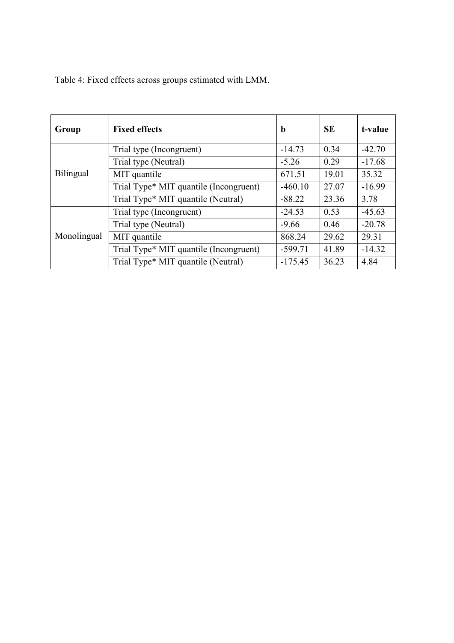| Group            | <b>Fixed effects</b>                   | $\mathbf b$ | <b>SE</b> | t-value  |
|------------------|----------------------------------------|-------------|-----------|----------|
| <b>Bilingual</b> | Trial type (Incongruent)               | $-14.73$    | 0.34      | $-42.70$ |
|                  | Trial type (Neutral)                   | $-5.26$     | 0.29      | $-17.68$ |
|                  | MIT quantile                           | 671.51      | 19.01     | 35.32    |
|                  | Trial Type* MIT quantile (Incongruent) | $-460.10$   | 27.07     | $-16.99$ |
|                  | Trial Type* MIT quantile (Neutral)     | $-88.22$    | 23.36     | 3.78     |
| Monolingual      | Trial type (Incongruent)               | $-24.53$    | 0.53      | $-45.63$ |
|                  | Trial type (Neutral)                   | $-9.66$     | 0.46      | $-20.78$ |
|                  | MIT quantile                           | 868.24      | 29.62     | 29.31    |
|                  | Trial Type* MIT quantile (Incongruent) | $-599.71$   | 41.89     | $-14.32$ |
|                  | Trial Type* MIT quantile (Neutral)     | $-175.45$   | 36.23     | 4.84     |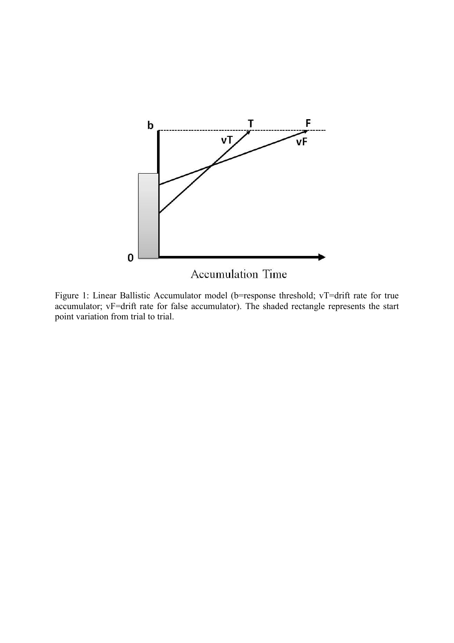

Figure 1: Linear Ballistic Accumulator model (b=response threshold; vT=drift rate for true accumulator; vF=drift rate for false accumulator). The shaded rectangle represents the start point variation from trial to trial.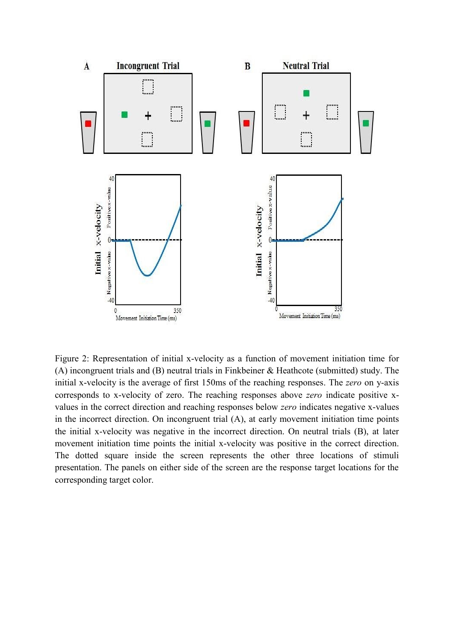

Figure 2: Representation of initial x-velocity as a function of movement initiation time for (A) incongruent trials and (B) neutral trials in Finkbeiner & Heathcote (submitted) study. The initial x-velocity is the average of first 150ms of the reaching responses. The *zero* on y-axis corresponds to x-velocity of zero. The reaching responses above *zero* indicate positive xvalues in the correct direction and reaching responses below *zero* indicates negative x-values in the incorrect direction. On incongruent trial (A), at early movement initiation time points the initial x-velocity was negative in the incorrect direction. On neutral trials (B), at later movement initiation time points the initial x-velocity was positive in the correct direction. The dotted square inside the screen represents the other three locations of stimuli presentation. The panels on either side of the screen are the response target locations for the corresponding target color.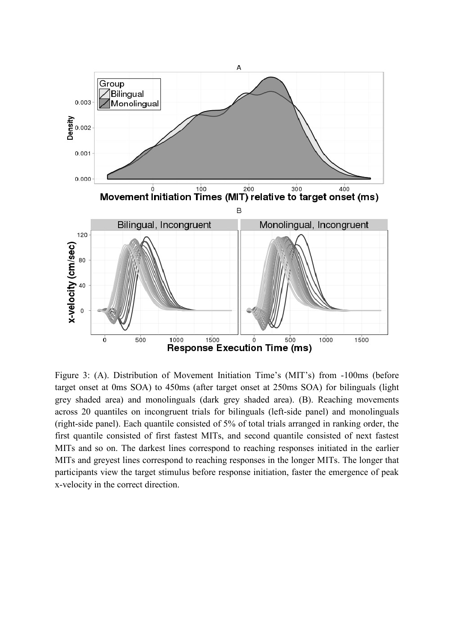

Figure 3: (A). Distribution of Movement Initiation Time's (MIT's) from -100ms (before target onset at 0ms SOA) to 450ms (after target onset at 250ms SOA) for bilinguals (light grey shaded area) and monolinguals (dark grey shaded area). (B). Reaching movements across 20 quantiles on incongruent trials for bilinguals (left-side panel) and monolinguals (right-side panel). Each quantile consisted of 5% of total trials arranged in ranking order, the first quantile consisted of first fastest MITs, and second quantile consisted of next fastest MITs and so on. The darkest lines correspond to reaching responses initiated in the earlier MITs and greyest lines correspond to reaching responses in the longer MITs. The longer that participants view the target stimulus before response initiation, faster the emergence of peak x-velocity in the correct direction.